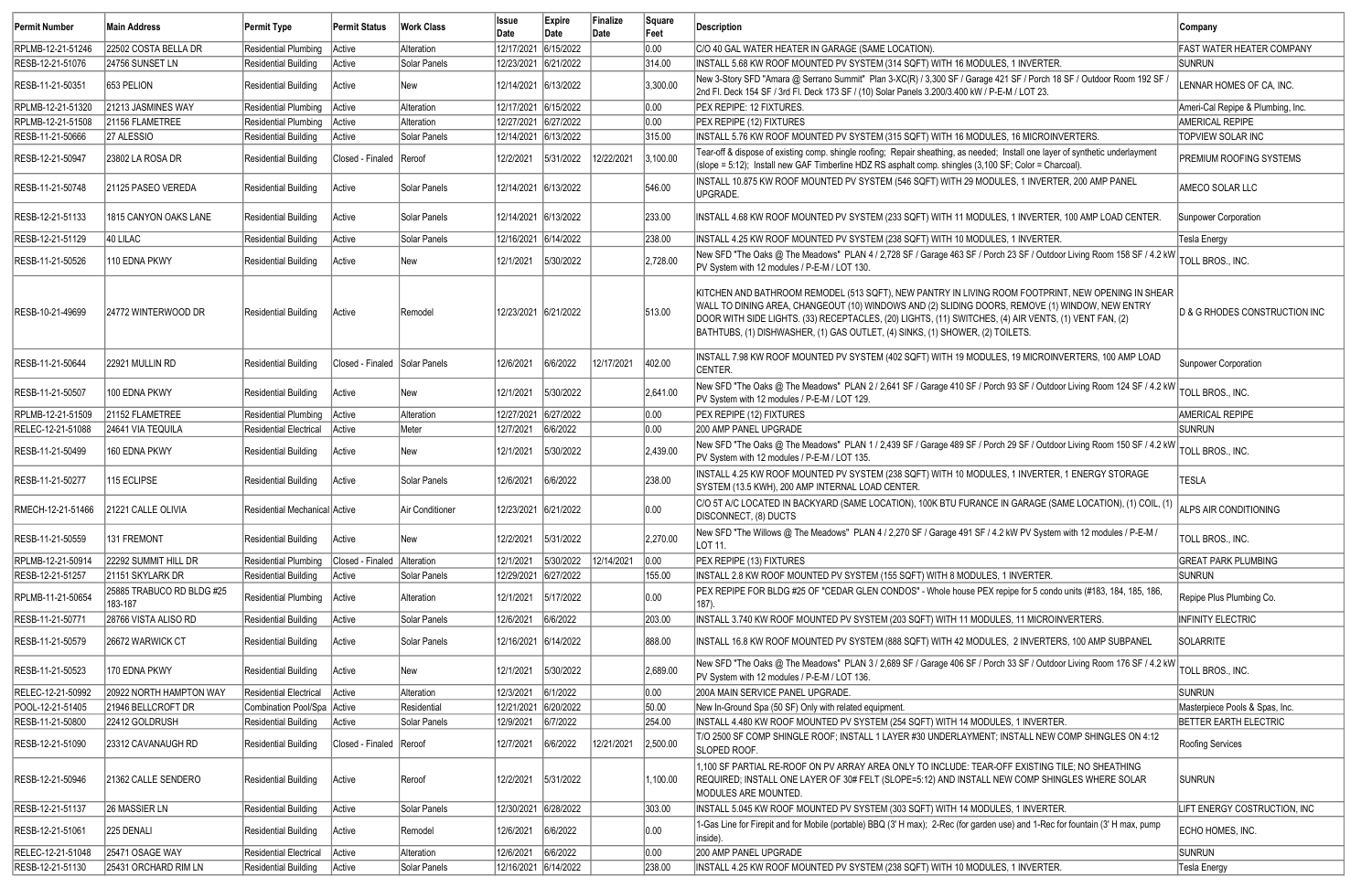| Permit Number     | Main Address                         | Permit Type                   | <b>Permit Status</b>          | <b>Work Class</b> | <b>Issue</b><br>Date | Expire<br>Date | Finalize<br>Date | Square<br>Feet | Description                                                                                                                                                                                                                                                                                                                                                                                     | <b>Company</b>                           |
|-------------------|--------------------------------------|-------------------------------|-------------------------------|-------------------|----------------------|----------------|------------------|----------------|-------------------------------------------------------------------------------------------------------------------------------------------------------------------------------------------------------------------------------------------------------------------------------------------------------------------------------------------------------------------------------------------------|------------------------------------------|
| RPLMB-12-21-51246 | 22502 COSTA BELLA DR                 | <b>Residential Plumbing</b>   | Active                        | Alteration        | 12/17/2021           | 6/15/2022      |                  | 0.00           | C/O 40 GAL WATER HEATER IN GARAGE (SAME LOCATION).                                                                                                                                                                                                                                                                                                                                              | <b>FAST WATER HEATER COMPANY</b>         |
| RESB-12-21-51076  | 24756 SUNSET LN                      | <b>Residential Building</b>   | Active                        | Solar Panels      | 12/23/2021 6/21/2022 |                |                  | 314.00         | INSTALL 5.68 KW ROOF MOUNTED PV SYSTEM (314 SQFT) WITH 16 MODULES, 1 INVERTER.                                                                                                                                                                                                                                                                                                                  | <b>SUNRUN</b>                            |
| RESB-11-21-50351  | 653 PELION                           | <b>Residential Building</b>   | Active                        | New               | 12/14/2021 6/13/2022 |                |                  | 3,300.00       | New 3-Story SFD "Amara @ Serrano Summit" Plan 3-XC(R) / 3,300 SF / Garage 421 SF / Porch 18 SF / Outdoor Room 192 SF /<br>2nd Fl. Deck 154 SF / 3rd Fl. Deck 173 SF / (10) Solar Panels 3.200/3.400 kW / P-E-M / LOT 23.                                                                                                                                                                        | LENNAR HOMES OF CA, INC.                 |
| RPLMB-12-21-51320 | 21213 JASMINES WAY                   | <b>Residential Plumbing</b>   | Active                        | Alteration        | 12/17/2021 6/15/2022 |                |                  | 0.00           | PEX REPIPE: 12 FIXTURES.                                                                                                                                                                                                                                                                                                                                                                        | Ameri-Cal Repipe & Plumbing, Inc.        |
| RPLMB-12-21-51508 | 21156 FLAMETREE                      | <b>Residential Plumbing</b>   | Active                        | Alteration        | 12/27/2021 6/27/2022 |                |                  | 0.00           | PEX REPIPE (12) FIXTURES                                                                                                                                                                                                                                                                                                                                                                        | <b>AMERICAL REPIPE</b>                   |
| RESB-11-21-50666  | 27 ALESSIO                           | <b>Residential Building</b>   | Active                        | Solar Panels      | 12/14/2021 6/13/2022 |                |                  | 315.00         | INSTALL 5.76 KW ROOF MOUNTED PV SYSTEM (315 SQFT) WITH 16 MODULES, 16 MICROINVERTERS.                                                                                                                                                                                                                                                                                                           | TOPVIEW SOLAR INC                        |
| RESB-12-21-50947  | 23802 LA ROSA DR                     | <b>Residential Building</b>   | Closed - Finaled Reroof       |                   | 12/2/2021            | 5/31/2022      | 12/22/2021       | 3,100.00       | Tear-off & dispose of existing comp. shingle roofing; Repair sheathing, as needed; Install one layer of synthetic underlayment<br>(slope = 5:12); Install new GAF Timberline HDZ RS asphalt comp. shingles (3,100 SF; Color = Charcoal)                                                                                                                                                         | PREMIUM ROOFING SYSTEMS                  |
| RESB-11-21-50748  | 21125 PASEO VEREDA                   | <b>Residential Building</b>   | Active                        | Solar Panels      | 12/14/2021 6/13/2022 |                |                  | 546.00         | INSTALL 10.875 KW ROOF MOUNTED PV SYSTEM (546 SQFT) WITH 29 MODULES, 1 INVERTER, 200 AMP PANEL<br>UPGRADE.                                                                                                                                                                                                                                                                                      | AMECO SOLAR LLC                          |
| RESB-12-21-51133  | 1815 CANYON OAKS LANE                | <b>Residential Building</b>   | Active                        | Solar Panels      |                      |                |                  | 233.00         | INSTALL 4.68 KW ROOF MOUNTED PV SYSTEM (233 SQFT) WITH 11 MODULES, 1 INVERTER, 100 AMP LOAD CENTER.                                                                                                                                                                                                                                                                                             | Sunpower Corporation                     |
| RESB-12-21-51129  | 40 LILAC                             | <b>Residential Building</b>   | Active                        | Solar Panels      | 12/16/2021 6/14/2022 |                |                  | 238.00         | INSTALL 4.25 KW ROOF MOUNTED PV SYSTEM (238 SQFT) WITH 10 MODULES, 1 INVERTER.                                                                                                                                                                                                                                                                                                                  | Tesla Energy                             |
| RESB-11-21-50526  | 110 EDNA PKWY                        | <b>Residential Building</b>   | Active                        | New               | 12/1/2021            | 5/30/2022      |                  | 2,728.00       | New SFD "The Oaks @ The Meadows" PLAN 4 / 2,728 SF / Garage 463 SF / Porch 23 SF / Outdoor Living Room 158 SF / 4.2 kW<br>PV System with 12 modules / P-E-M / LOT 130.                                                                                                                                                                                                                          | TOLL BROS., INC.                         |
| RESB-10-21-49699  | 24772 WINTERWOOD DR                  | Residential Building          | Active                        | Remodel           | 12/23/2021 6/21/2022 |                |                  | 513.00         | KITCHEN AND BATHROOM REMODEL (513 SQFT), NEW PANTRY IN LIVING ROOM FOOTPRINT, NEW OPENING IN SHEAR<br>WALL TO DINING AREA, CHANGEOUT (10) WINDOWS AND (2) SLIDING DOORS, REMOVE (1) WINDOW, NEW ENTRY<br>DOOR WITH SIDE LIGHTS. (33) RECEPTACLES, (20) LIGHTS, (11) SWITCHES, (4) AIR VENTS, (1) VENT FAN, (2)<br>BATHTUBS, (1) DISHWASHER, (1) GAS OUTLET, (4) SINKS, (1) SHOWER, (2) TOILETS. | <b>D &amp; G RHODES CONSTRUCTION INC</b> |
| RESB-11-21-50644  | 22921 MULLIN RD                      | <b>Residential Building</b>   | Closed - Finaled Solar Panels |                   | 12/6/2021            | 6/6/2022       | 12/17/2021       | 402.00         | INSTALL 7.98 KW ROOF MOUNTED PV SYSTEM (402 SQFT) WITH 19 MODULES, 19 MICROINVERTERS, 100 AMP LOAD<br>CENTER.                                                                                                                                                                                                                                                                                   | Sunpower Corporation                     |
| RESB-11-21-50507  | 100 EDNA PKWY                        | Residential Building          | Active                        | New               | 12/1/2021            | 5/30/2022      |                  | 2,641.00       | New SFD "The Oaks @ The Meadows" PLAN 2 / 2,641 SF / Garage 410 SF / Porch 93 SF / Outdoor Living Room 124 SF / 4.2 kW<br>PV System with 12 modules / P-E-M / LOT 129.                                                                                                                                                                                                                          | TOLL BROS., INC.                         |
| RPLMB-12-21-51509 | 21152 FLAMETREE                      | Residential Plumbing   Active |                               | Alteration        | 12/27/2021 6/27/2022 |                |                  | 0.00           | PEX REPIPE (12) FIXTURES                                                                                                                                                                                                                                                                                                                                                                        | <b>AMERICAL REPIPE</b>                   |
| RELEC-12-21-51088 | 24641 VIA TEQUILA                    | <b>Residential Electrical</b> | Active                        | Meter             | 12/7/2021            | 6/6/2022       |                  | 0.00           | 200 AMP PANEL UPGRADE                                                                                                                                                                                                                                                                                                                                                                           | <b>SUNRUN</b>                            |
| RESB-11-21-50499  | 160 EDNA PKWY                        | <b>Residential Building</b>   | Active                        | New               | 12/1/2021            | 5/30/2022      |                  | 2,439.00       | New SFD "The Oaks @ The Meadows" PLAN 1 / 2,439 SF / Garage 489 SF / Porch 29 SF / Outdoor Living Room 150 SF / 4.2 kW<br>PV System with 12 modules / P-E-M / LOT 135.                                                                                                                                                                                                                          | TOLL BROS., INC.                         |
| RESB-11-21-50277  | 115 ECLIPSE                          | <b>Residential Building</b>   | Active                        | Solar Panels      | 12/6/2021            | 6/6/2022       |                  | 238.00         | INSTALL 4.25 KW ROOF MOUNTED PV SYSTEM (238 SQFT) WITH 10 MODULES, 1 INVERTER, 1 ENERGY STORAGE<br>SYSTEM (13.5 KWH), 200 AMP INTERNAL LOAD CENTER.                                                                                                                                                                                                                                             | <b>TESLA</b>                             |
| RMECH-12-21-51466 | 21221 CALLE OLIVIA                   | Residential Mechanical Active |                               | IAir Conditioner  | 12/23/2021 6/21/2022 |                |                  | 0.00           | C/O 5T A/C LOCATED IN BACKYARD (SAME LOCATION), 100K BTU FURANCE IN GARAGE (SAME LOCATION), (1) COIL, (1) ALPS AIR CONDITIONING<br>DISCONNECT, (8) DUCTS                                                                                                                                                                                                                                        |                                          |
| RESB-11-21-50559  | 131 FREMONT                          | <b>Residential Building</b>   | Active                        | New               | 12/2/2021            | 5/31/2022      |                  | 2,270.00       | New SFD "The Willows @ The Meadows" PLAN 4 / 2,270 SF / Garage 491 SF / 4.2 kW PV System with 12 modules / P-E-M /<br>LOT 11.                                                                                                                                                                                                                                                                   | TOLL BROS., INC.                         |
| RPLMB-12-21-50914 | 22292 SUMMIT HILL DR                 | <b>Residential Plumbing</b>   | Closed - Finaled              | Alteration        | 12/1/2021            | 5/30/2022      | 12/14/2021       | 0.00           | PEX REPIPE (13) FIXTURES                                                                                                                                                                                                                                                                                                                                                                        | <b>GREAT PARK PLUMBING</b>               |
| RESB-12-21-51257  | 21151 SKYLARK DR                     | Residential Building          | Active                        | Solar Panels      | 12/29/2021 6/27/2022 |                |                  | 155.00         | INSTALL 2.8 KW ROOF MOUNTED PV SYSTEM (155 SQFT) WITH 8 MODULES, 1 INVERTER.                                                                                                                                                                                                                                                                                                                    | <b>SUNRUN</b>                            |
| RPLMB-11-21-50654 | 25885 TRABUCO RD BLDG #25<br>183-187 | Residential Plumbing          | Active                        | Alteration        | 12/1/2021            | 5/17/2022      |                  | 0.00           | PEX REPIPE FOR BLDG #25 OF "CEDAR GLEN CONDOS" - Whole house PEX repipe for 5 condo units (#183, 184, 185, 186,<br>187).                                                                                                                                                                                                                                                                        | Repipe Plus Plumbing Co.                 |
| RESB-11-21-50771  | 28766 VISTA ALISO RD                 | <b>Residential Building</b>   | Active                        | Solar Panels      | 12/6/2021            | 6/6/2022       |                  | 203.00         | INSTALL 3.740 KW ROOF MOUNTED PV SYSTEM (203 SQFT) WITH 11 MODULES, 11 MICROINVERTERS.                                                                                                                                                                                                                                                                                                          | INFINITY ELECTRIC                        |
| RESB-11-21-50579  | 26672 WARWICK CT                     | Residential Building          | Active                        | Solar Panels      | 12/16/2021 6/14/2022 |                |                  | 888.00         | INSTALL 16.8 KW ROOF MOUNTED PV SYSTEM (888 SQFT) WITH 42 MODULES, 2 INVERTERS, 100 AMP SUBPANEL                                                                                                                                                                                                                                                                                                | SOLARRITE                                |
| RESB-11-21-50523  | 170 EDNA PKWY                        | <b>Residential Building</b>   | Active                        | New               | 12/1/2021            | 5/30/2022      |                  | 2,689.00       | New SFD "The Oaks @ The Meadows" PLAN 3 / 2,689 SF / Garage 406 SF / Porch 33 SF / Outdoor Living Room 176 SF / 4.2 kW<br>PV System with 12 modules / P-E-M / LOT 136.                                                                                                                                                                                                                          | TOLL BROS., INC.                         |
| RELEC-12-21-50992 | 20922 NORTH HAMPTON WAY              | Residential Electrical        | Active                        | <b>Alteration</b> | 12/3/2021            | 6/1/2022       |                  | 0.00           | 200A MAIN SERVICE PANEL UPGRADE.                                                                                                                                                                                                                                                                                                                                                                | <b>SUNRUN</b>                            |
| POOL-12-21-51405  | 21946 BELLCROFT DR                   | Combination Pool/Spa Active   |                               | Residential       | 12/21/2021           | 6/20/2022      |                  | 50.00          | New In-Ground Spa (50 SF) Only with related equipment.                                                                                                                                                                                                                                                                                                                                          | Masterpiece Pools & Spas, Inc.           |
| RESB-11-21-50800  | 22412 GOLDRUSH                       | Residential Building          | Active                        | Solar Panels      | 12/9/2021            | 6/7/2022       |                  | 254.00         | INSTALL 4.480 KW ROOF MOUNTED PV SYSTEM (254 SQFT) WITH 14 MODULES, 1 INVERTER.                                                                                                                                                                                                                                                                                                                 | <b>BETTER EARTH ELECTRIC</b>             |
| RESB-12-21-51090  | 23312 CAVANAUGH RD                   | Residential Building          | Closed - Finaled Reroof       |                   | 12/7/2021            | 6/6/2022       | 12/21/2021       | 2,500.00       | T/O 2500 SF COMP SHINGLE ROOF; INSTALL 1 LAYER #30 UNDERLAYMENT; INSTALL NEW COMP SHINGLES ON 4:12<br>SLOPED ROOF.                                                                                                                                                                                                                                                                              | Roofing Services                         |
| RESB-12-21-50946  | 21362 CALLE SENDERO                  | Residential Building          | Active                        | Reroof            | 12/2/2021            | 5/31/2022      |                  | 1,100.00       | 1,100 SF PARTIAL RE-ROOF ON PV ARRAY AREA ONLY TO INCLUDE: TEAR-OFF EXISTING TILE; NO SHEATHING<br>REQUIRED; INSTALL ONE LAYER OF 30# FELT (SLOPE=5:12) AND INSTALL NEW COMP SHINGLES WHERE SOLAR<br>MODULES ARE MOUNTED.                                                                                                                                                                       | <b>SUNRUN</b>                            |
| RESB-12-21-51137  | 26 MASSIER LN                        | Residential Building          | Active                        | Solar Panels      | 12/30/2021 6/28/2022 |                |                  | 303.00         | INSTALL 5.045 KW ROOF MOUNTED PV SYSTEM (303 SQFT) WITH 14 MODULES, 1 INVERTER.                                                                                                                                                                                                                                                                                                                 | LIFT ENERGY COSTRUCTION, INC             |
| RESB-12-21-51061  | 225 DENALI                           | <b>Residential Building</b>   | Active                        | Remodel           | 12/6/2021            | 6/6/2022       |                  | 0.00           | 1-Gas Line for Firepit and for Mobile (portable) BBQ (3' H max); 2-Rec (for garden use) and 1-Rec for fountain (3' H max, pump<br>inside).                                                                                                                                                                                                                                                      | ECHO HOMES, INC.                         |
| RELEC-12-21-51048 | 25471 OSAGE WAY                      | Residential Electrical        | Active                        | Alteration        | 12/6/2021            | 6/6/2022       |                  | 0.00           | 200 AMP PANEL UPGRADE                                                                                                                                                                                                                                                                                                                                                                           | <b>SUNRUN</b>                            |
| RESB-12-21-51130  | 25431 ORCHARD RIM LN                 | Residential Building          | Active                        | Solar Panels      | 12/16/2021 6/14/2022 |                |                  | 238.00         | INSTALL 4.25 KW ROOF MOUNTED PV SYSTEM (238 SQFT) WITH 10 MODULES, 1 INVERTER.                                                                                                                                                                                                                                                                                                                  | Tesla Energy                             |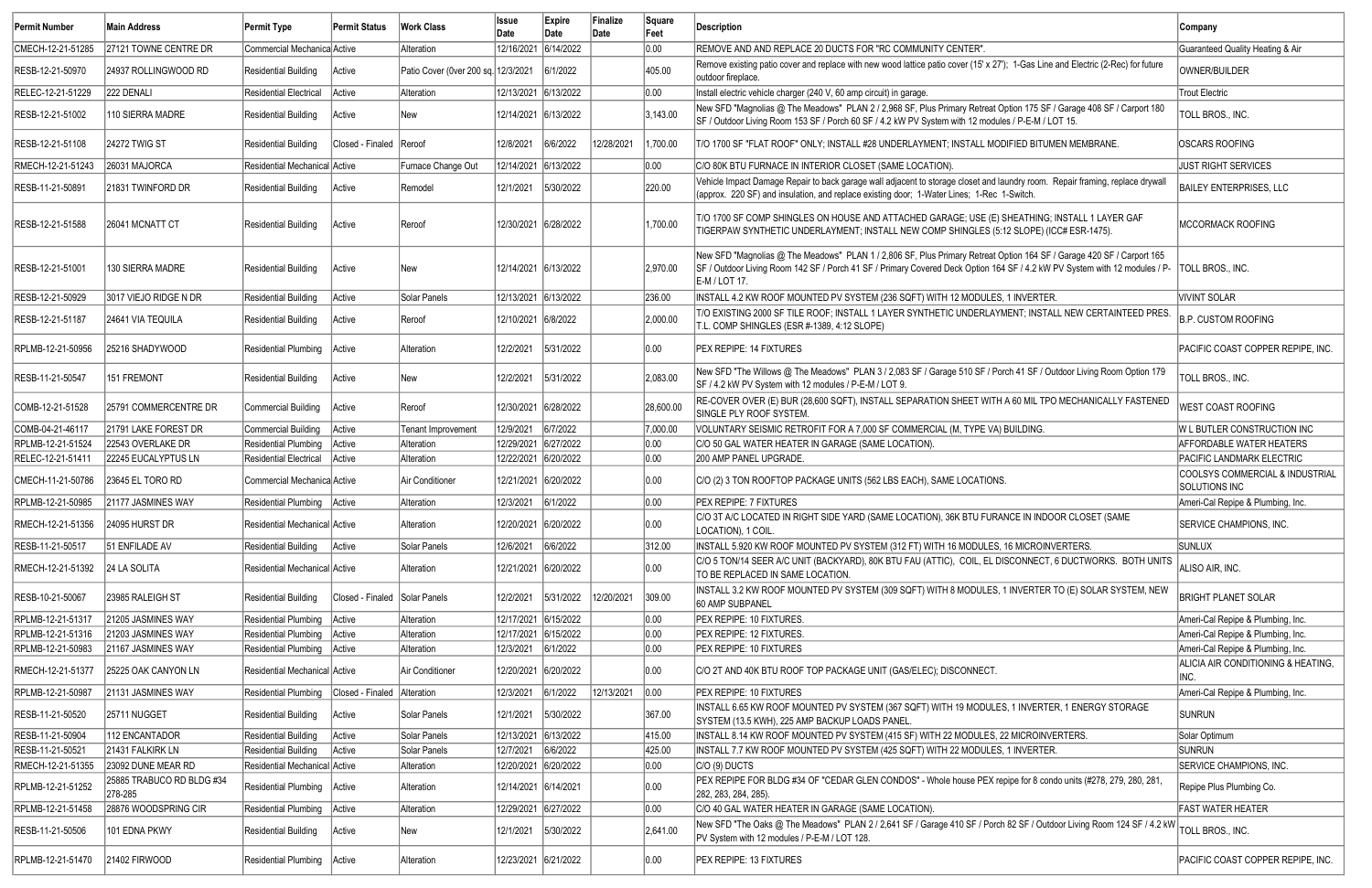| Permit Number     | Main Address                         | Permit Type                   | <b>Permit Status</b>          | <b>Work Class</b>                   | <b>Issue</b><br>Date | Expire<br>Date | Finalize<br>Date | Square<br>Feet | Description                                                                                                                                                                                                                                                          | Company                                          |
|-------------------|--------------------------------------|-------------------------------|-------------------------------|-------------------------------------|----------------------|----------------|------------------|----------------|----------------------------------------------------------------------------------------------------------------------------------------------------------------------------------------------------------------------------------------------------------------------|--------------------------------------------------|
| CMECH-12-21-51285 | 27121 TOWNE CENTRE DR                | Commercial Mechanica Active   |                               | Alteration                          | 12/16/2021           | 6/14/2022      |                  | 0.00           | REMOVE AND AND REPLACE 20 DUCTS FOR "RC COMMUNITY CENTER".                                                                                                                                                                                                           | Guaranteed Quality Heating & Air                 |
| RESB-12-21-50970  | 24937 ROLLINGWOOD RD                 | Residential Building          | Active                        | Patio Cover (0ver 200 sq. 12/3/2021 |                      | 6/1/2022       |                  | 405.00         | Remove existing patio cover and replace with new wood lattice patio cover (15' x 27'); 1-Gas Line and Electric (2-Rec) for future<br>outdoor fireplace                                                                                                               | OWNER/BUILDER                                    |
| RELEC-12-21-51229 | 222 DENALI                           | Residential Electrical        | Active                        | Alteration                          | 12/13/2021 6/13/2022 |                |                  | 0.00           | Install electric vehicle charger (240 V, 60 amp circuit) in garage.                                                                                                                                                                                                  | <b>Trout Electric</b>                            |
| RESB-12-21-51002  | 110 SIERRA MADRE                     | Residential Building          | Active                        | New                                 | 12/14/2021 6/13/2022 |                |                  | 3,143.00       | New SFD "Magnolias @ The Meadows" PLAN 2 / 2,968 SF, Plus Primary Retreat Option 175 SF / Garage 408 SF / Carport 180<br>SF / Outdoor Living Room 153 SF / Porch 60 SF / 4.2 kW PV System with 12 modules / P-E-M / LOT 15.                                          | TOLL BROS., INC.                                 |
| RESB-12-21-51108  | <b>24272 TWIG ST</b>                 | Residential Building          | Closed - Finaled Reroof       |                                     | 12/8/2021            | 6/6/2022       | 12/28/2021       | 1,700.00       | T/O 1700 SF "FLAT ROOF" ONLY; INSTALL #28 UNDERLAYMENT; INSTALL MODIFIED BITUMEN MEMBRANE.                                                                                                                                                                           | <b>OSCARS ROOFING</b>                            |
| RMECH-12-21-51243 | 26031 MAJORCA                        | Residential Mechanical Active |                               | Furnace Change Out                  | 12/14/2021 6/13/2022 |                |                  | 0.00           | C/O 80K BTU FURNACE IN INTERIOR CLOSET (SAME LOCATION).                                                                                                                                                                                                              | <b>JUST RIGHT SERVICES</b>                       |
| RESB-11-21-50891  | 21831 TWINFORD DR                    | Residential Building          | Active                        | Remodel                             | 12/1/2021            | 5/30/2022      |                  | 220.00         | Vehicle Impact Damage Repair to back garage wall adjacent to storage closet and laundry room. Repair framing, replace drywall<br>(approx. 220 SF) and insulation, and replace existing door; 1-Water Lines; 1-Rec 1-Switch.                                          | <b>BAILEY ENTERPRISES, LLC</b>                   |
| RESB-12-21-51588  | 26041 MCNATT CT                      | Residential Building          | Active                        | Reroof                              | 12/30/2021 6/28/2022 |                |                  | 1,700.00       | T/O 1700 SF COMP SHINGLES ON HOUSE AND ATTACHED GARAGE; USE (E) SHEATHING; INSTALL 1 LAYER GAF<br>TIGERPAW SYNTHETIC UNDERLAYMENT; INSTALL NEW COMP SHINGLES (5:12 SLOPE) (ICC# ESR-1475).                                                                           | MCCORMACK ROOFING                                |
| RESB-12-21-51001  | 130 SIERRA MADRE                     | <b>Residential Building</b>   | Active                        | New                                 | 12/14/2021 6/13/2022 |                |                  | 2,970.00       | New SFD "Magnolias @ The Meadows" PLAN 1 / 2,806 SF, Plus Primary Retreat Option 164 SF / Garage 420 SF / Carport 165<br>SF / Outdoor Living Room 142 SF / Porch 41 SF / Primary Covered Deck Option 164 SF / 4.2 kW PV System with 12 modules / P-<br>E-M / LOT 17. | <b>TOLL BROS., INC.</b>                          |
| RESB-12-21-50929  | 3017 VIEJO RIDGE N DR                | <b>Residential Building</b>   | Active                        | Solar Panels                        | 12/13/2021 6/13/2022 |                |                  | 236.00         | INSTALL 4.2 KW ROOF MOUNTED PV SYSTEM (236 SQFT) WITH 12 MODULES, 1 INVERTER.                                                                                                                                                                                        | <b>VIVINT SOLAR</b>                              |
| RESB-12-21-51187  | 24641 VIA TEQUILA                    | Residential Building          | Active                        | Reroof                              | 12/10/2021 6/8/2022  |                |                  | 2,000.00       | T/O EXISTING 2000 SF TILE ROOF; INSTALL 1 LAYER SYNTHETIC UNDERLAYMENT; INSTALL NEW CERTAINTEED PRES.<br>T.L. COMP SHINGLES (ESR #-1389, 4:12 SLOPE)                                                                                                                 | <b>B.P. CUSTOM ROOFING</b>                       |
| RPLMB-12-21-50956 | 25216 SHADYWOOD                      | <b>Residential Plumbing</b>   | Active                        | Alteration                          | 12/2/2021            | 5/31/2022      |                  | 0.00           | <b>PEX REPIPE: 14 FIXTURES</b>                                                                                                                                                                                                                                       | PACIFIC COAST COPPER REPIPE, INC.                |
| RESB-11-21-50547  | 151 FREMONT                          | <b>Residential Building</b>   | Active                        | New                                 | 12/2/2021            | 5/31/2022      |                  | 2,083.00       | New SFD "The Willows @ The Meadows" PLAN 3 / 2,083 SF / Garage 510 SF / Porch 41 SF / Outdoor Living Room Option 179<br>SF / 4.2 kW PV System with 12 modules / P-E-M / LOT 9.                                                                                       | TOLL BROS., INC.                                 |
| COMB-12-21-51528  | 25791 COMMERCENTRE DR                | Commercial Building           | Active                        | Reroof                              | 12/30/2021 6/28/2022 |                |                  | 28,600.00      | RE-COVER OVER (E) BUR (28,600 SQFT), INSTALL SEPARATION SHEET WITH A 60 MIL TPO MECHANICALLY FASTENED<br>SINGLE PLY ROOF SYSTEM.                                                                                                                                     | WEST COAST ROOFING                               |
| COMB-04-21-46117  | 21791 LAKE FOREST DR                 | Commercial Building           | Active                        | Tenant Improvement                  | 12/9/2021            | 6/7/2022       |                  | 7,000.00       | VOLUNTARY SEISMIC RETROFIT FOR A 7,000 SF COMMERCIAL (M, TYPE VA) BUILDING.                                                                                                                                                                                          | W L BUTLER CONSTRUCTION INC                      |
| RPLMB-12-21-51524 | 22543 OVERLAKE DR                    | <b>Residential Plumbing</b>   | Active                        | Alteration                          | 12/29/2021 6/27/2022 |                |                  | 0.00           | C/O 50 GAL WATER HEATER IN GARAGE (SAME LOCATION).                                                                                                                                                                                                                   | <b>AFFORDABLE WATER HEATERS</b>                  |
| RELEC-12-21-51411 | 22245 EUCALYPTUS LN                  | Residential Electrical        | Active                        | Alteration                          | 12/22/2021 6/20/2022 |                |                  | 0.00           | 200 AMP PANEL UPGRADE.                                                                                                                                                                                                                                               | PACIFIC LANDMARK ELECTRIC                        |
| CMECH-11-21-50786 | 23645 EL TORO RD                     | Commercial Mechanica Active   |                               | Air Conditioner                     | 12/21/2021 6/20/2022 |                |                  | 0.00           | C/O (2) 3 TON ROOFTOP PACKAGE UNITS (562 LBS EACH), SAME LOCATIONS.                                                                                                                                                                                                  | COOLSYS COMMERCIAL & INDUSTRIAL<br>SOLUTIONS INC |
| RPLMB-12-21-50985 | 21177 JASMINES WAY                   | Residential Plumbing Active   |                               | Alteration                          | 12/3/2021            | 6/1/2022       |                  | 0.00           | <b>PEX REPIPE: 7 FIXTURES</b>                                                                                                                                                                                                                                        | Ameri-Cal Repipe & Plumbing, Inc.                |
| RMECH-12-21-51356 | 24095 HURST DR                       | Residential Mechanical Active |                               | Alteration                          | 12/20/2021 6/20/2022 |                |                  | 0.00           | C/O 3T A/C LOCATED IN RIGHT SIDE YARD (SAME LOCATION), 36K BTU FURANCE IN INDOOR CLOSET (SAME<br>LOCATION), 1 COIL.                                                                                                                                                  | SERVICE CHAMPIONS, INC.                          |
| RESB-11-21-50517  | 51 ENFILADE AV                       | Residential Building          | Active                        | Solar Panels                        | 12/6/2021            | 6/6/2022       |                  | 312.00         | INSTALL 5.920 KW ROOF MOUNTED PV SYSTEM (312 FT) WITH 16 MODULES, 16 MICROINVERTERS.                                                                                                                                                                                 | <b>SUNLUX</b>                                    |
| RMECH-12-21-51392 | 24 LA SOLITA                         | Residential Mechanical Active |                               | Alteration                          | 12/21/2021 6/20/2022 |                |                  | 0.00           | C/O 5 TON/14 SEER A/C UNIT (BACKYARD), 80K BTU FAU (ATTIC), COIL, EL DISCONNECT, 6 DUCTWORKS. BOTH UNITS<br>TO BE REPLACED IN SAME LOCATION.                                                                                                                         | ALISO AIR, INC.                                  |
| RESB-10-21-50067  | 23985 RALEIGH ST                     | Residential Building          | Closed - Finaled Solar Panels |                                     | 12/2/2021            | 5/31/2022      | 12/20/2021       | 309.00         | INSTALL 3.2 KW ROOF MOUNTED PV SYSTEM (309 SQFT) WITH 8 MODULES, 1 INVERTER TO (E) SOLAR SYSTEM, NEW<br>60 AMP SUBPANEL                                                                                                                                              | <b>BRIGHT PLANET SOLAR</b>                       |
| RPLMB-12-21-51317 | 21205 JASMINES WAY                   | Residential Plumbing   Active |                               | Alteration                          | 12/17/2021 6/15/2022 |                |                  | 0.00           | PEX REPIPE: 10 FIXTURES.                                                                                                                                                                                                                                             | Ameri-Cal Repipe & Plumbing, Inc.                |
| RPLMB-12-21-51316 | 21203 JASMINES WAY                   | Residential Plumbing   Active |                               | Alteration                          | 12/17/2021 6/15/2022 |                |                  | 0.00           | PEX REPIPE: 12 FIXTURES.                                                                                                                                                                                                                                             | Ameri-Cal Repipe & Plumbing, Inc.                |
| RPLMB-12-21-50983 | 21167 JASMINES WAY                   | Residential Plumbing   Active |                               | Alteration                          | 12/3/2021            | 6/1/2022       |                  | 0.00           | PEX REPIPE: 10 FIXTURES                                                                                                                                                                                                                                              | Ameri-Cal Repipe & Plumbing, Inc.                |
| RMECH-12-21-51377 | 25225 OAK CANYON LN                  | Residential Mechanical Active |                               | Air Conditioner                     | 12/20/2021 6/20/2022 |                |                  | 0.00           | C/O 2T AND 40K BTU ROOF TOP PACKAGE UNIT (GAS/ELEC); DISCONNECT.                                                                                                                                                                                                     | ALICIA AIR CONDITIONING & HEATING,<br>INC.       |
| RPLMB-12-21-50987 | 21131 JASMINES WAY                   | Residential Plumbing          | Closed - Finaled Alteration   |                                     | 12/3/2021            | 6/1/2022       | 12/13/2021       | 0.00           | PEX REPIPE: 10 FIXTURES                                                                                                                                                                                                                                              | Ameri-Cal Repipe & Plumbing, Inc.                |
| RESB-11-21-50520  | <b>25711 NUGGET</b>                  | Residential Building          | Active                        | Solar Panels                        | 12/1/2021            | 5/30/2022      |                  | 367.00         | INSTALL 6.65 KW ROOF MOUNTED PV SYSTEM (367 SQFT) WITH 19 MODULES, 1 INVERTER, 1 ENERGY STORAGE<br>SYSTEM (13.5 KWH), 225 AMP BACKUP LOADS PANEL                                                                                                                     | <b>SUNRUN</b>                                    |
| RESB-11-21-50904  | 112 ENCANTADOR                       | Residential Building          | Active                        | Solar Panels                        | 12/13/2021 6/13/2022 |                |                  | 415.00         | INSTALL 8.14 KW ROOF MOUNTED PV SYSTEM (415 SF) WITH 22 MODULES, 22 MICROINVERTERS.                                                                                                                                                                                  | Solar Optimum                                    |
| RESB-11-21-50521  | 21431 FALKIRK LN                     | <b>Residential Building</b>   | Active                        | Solar Panels                        | 12/7/2021            | 6/6/2022       |                  | 425.00         | INSTALL 7.7 KW ROOF MOUNTED PV SYSTEM (425 SQFT) WITH 22 MODULES, 1 INVERTER.                                                                                                                                                                                        | <b>SUNRUN</b>                                    |
| RMECH-12-21-51355 | 23092 DUNE MEAR RD                   | Residential Mechanical Active |                               | Alteration                          | 12/20/2021 6/20/2022 |                |                  | 0.00           | $ C/O(9)$ DUCTS                                                                                                                                                                                                                                                      | SERVICE CHAMPIONS, INC.                          |
| RPLMB-12-21-51252 | 25885 TRABUCO RD BLDG #34<br>278-285 | Residential Plumbing   Active |                               | Alteration                          | 12/14/2021 6/14/2021 |                |                  | 0.00           | PEX REPIPE FOR BLDG #34 OF "CEDAR GLEN CONDOS" - Whole house PEX repipe for 8 condo units (#278, 279, 280, 281,<br>282, 283, 284, 285).                                                                                                                              | Repipe Plus Plumbing Co.                         |
| RPLMB-12-21-51458 | 28876 WOODSPRING CIR                 | Residential Plumbing Active   |                               | Alteration                          | 12/29/2021 6/27/2022 |                |                  | 0.00           | C/O 40 GAL WATER HEATER IN GARAGE (SAME LOCATION).                                                                                                                                                                                                                   | <b>FAST WATER HEATER</b>                         |
| RESB-11-21-50506  | 101 EDNA PKWY                        | Residential Building          | Active                        | New                                 | 12/1/2021            | 5/30/2022      |                  | 2,641.00       | New SFD "The Oaks @ The Meadows" PLAN 2 / 2,641 SF / Garage 410 SF / Porch 82 SF / Outdoor Living Room 124 SF / 4.2 kW<br>PV System with 12 modules / P-E-M / LOT 128.                                                                                               | TOLL BROS., INC.                                 |
| RPLMB-12-21-51470 | <b>21402 FIRWOOD</b>                 | Residential Plumbing   Active |                               | Alteration                          | 12/23/2021 6/21/2022 |                |                  | 0.00           | PEX REPIPE: 13 FIXTURES                                                                                                                                                                                                                                              | PACIFIC COAST COPPER REPIPE, INC.                |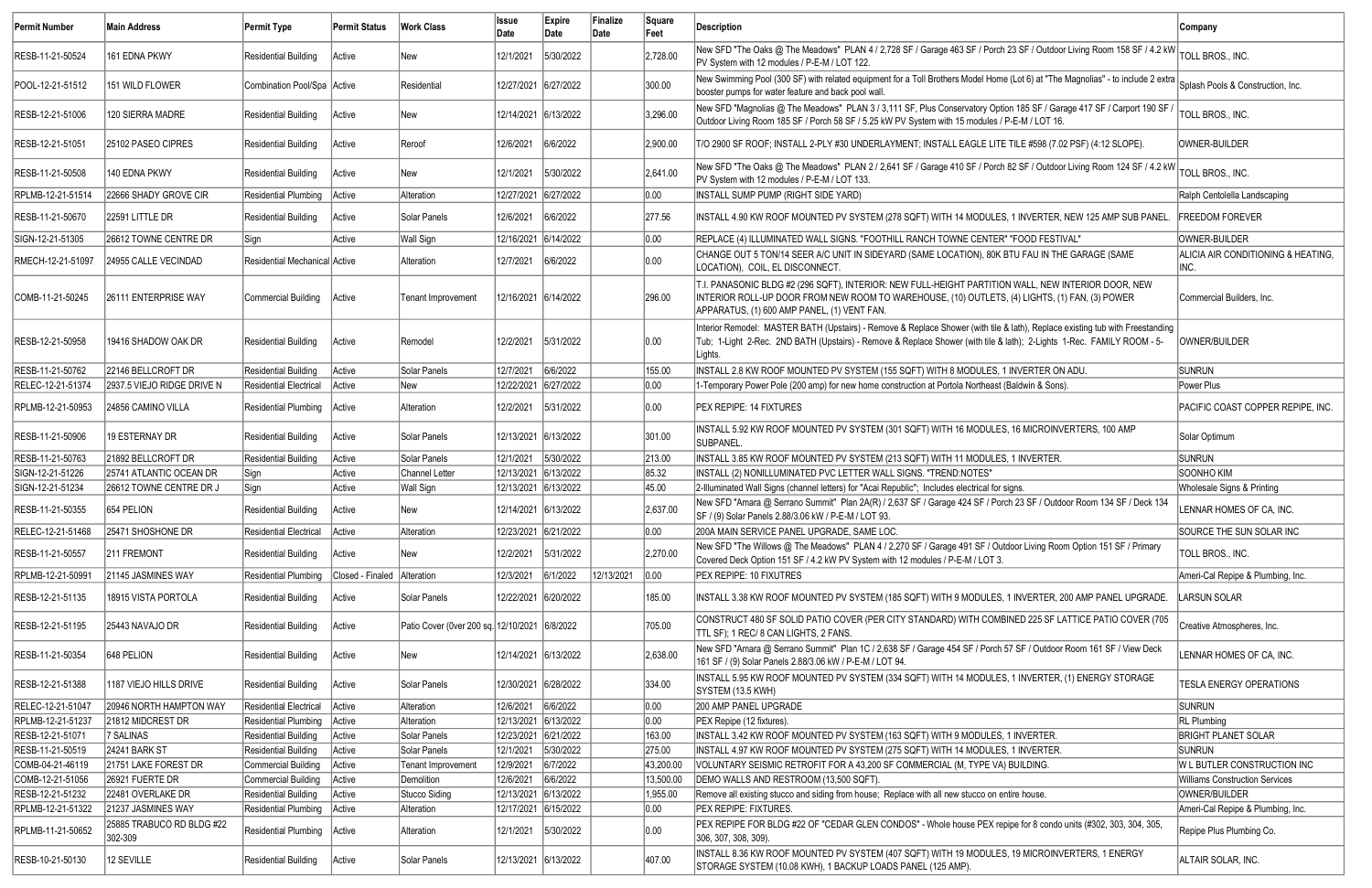| Permit Number     | <b>Main Address</b>                  | <b>Permit Type</b>            | Permit Status               | <b>Work Class</b>                             | <b>Issue</b><br>Date | Expire<br>Date | Finalize<br>Date | Square<br>Feet | Description                                                                                                                                                                                                                                                        | <b>Company</b>                             |
|-------------------|--------------------------------------|-------------------------------|-----------------------------|-----------------------------------------------|----------------------|----------------|------------------|----------------|--------------------------------------------------------------------------------------------------------------------------------------------------------------------------------------------------------------------------------------------------------------------|--------------------------------------------|
| RESB-11-21-50524  | 161 EDNA PKWY                        | <b>Residential Building</b>   | Active                      | lNew .                                        | 12/1/2021            | 5/30/2022      |                  | 2,728.00       | New SFD "The Oaks @ The Meadows" PLAN 4 / 2,728 SF / Garage 463 SF / Porch 23 SF / Outdoor Living Room 158 SF / 4.2 kW<br>PV System with 12 modules / P-E-M / LOT 122.                                                                                             | TOLL BROS., INC.                           |
| POOL-12-21-51512  | 151 WILD FLOWER                      | Combination Pool/Spa Active   |                             | Residential                                   | 12/27/2021 6/27/2022 |                |                  | 300.00         | New Swimming Pool (300 SF) with related equipment for a Toll Brothers Model Home (Lot 6) at "The Magnolias" - to include 2 extra<br>booster pumps for water feature and back pool wall                                                                             | Splash Pools & Construction, Inc.          |
| RESB-12-21-51006  | 120 SIERRA MADRE                     | <b>Residential Building</b>   | Active                      | New                                           | 12/14/2021 6/13/2022 |                |                  | 3,296.00       | New SFD "Magnolias @ The Meadows" PLAN 3 / 3,111 SF, Plus Conservatory Option 185 SF / Garage 417 SF / Carport 190 SF<br>Outdoor Living Room 185 SF / Porch 58 SF / 5.25 kW PV System with 15 modules / P-E-M / LOT 16.                                            | TOLL BROS., INC.                           |
| RESB-12-21-51051  | 25102 PASEO CIPRES                   | <b>Residential Building</b>   | Active                      | Reroof                                        | 12/6/2021            | 6/6/2022       |                  | 2,900.00       | T/O 2900 SF ROOF; INSTALL 2-PLY #30 UNDERLAYMENT; INSTALL EAGLE LITE TILE #598 (7.02 PSF) (4:12 SLOPE).                                                                                                                                                            | OWNER-BUILDER                              |
| RESB-11-21-50508  | 140 EDNA PKWY                        | <b>Residential Building</b>   | Active                      | New                                           | 12/1/2021            | 5/30/2022      |                  | 2,641.00       | New SFD "The Oaks @ The Meadows" PLAN 2 / 2,641 SF / Garage 410 SF / Porch 82 SF / Outdoor Living Room 124 SF / 4.2 kW<br>PV System with 12 modules / P-E-M / LOT 133.                                                                                             | TOLL BROS., INC.                           |
| RPLMB-12-21-51514 | 22666 SHADY GROVE CIR                | Residential Plumbing Active   |                             | Alteration                                    | 12/27/2021 6/27/2022 |                |                  | 0.00           | INSTALL SUMP PUMP (RIGHT SIDE YARD)                                                                                                                                                                                                                                | Ralph Centolella Landscaping               |
| RESB-11-21-50670  | 22591 LITTLE DR                      | <b>Residential Building</b>   | Active                      | Solar Panels                                  | 12/6/2021            | 6/6/2022       |                  | 277.56         | INSTALL 4.90 KW ROOF MOUNTED PV SYSTEM (278 SQFT) WITH 14 MODULES, 1 INVERTER, NEW 125 AMP SUB PANEL.                                                                                                                                                              | <b>FREEDOM FOREVER</b>                     |
| SIGN-12-21-51305  | 26612 TOWNE CENTRE DR                | Sign                          | Active                      | Wall Sign                                     | 12/16/2021 6/14/2022 |                |                  | 0.00           | REPLACE (4) ILLUMINATED WALL SIGNS. "FOOTHILL RANCH TOWNE CENTER" "FOOD FESTIVAL"                                                                                                                                                                                  | OWNER-BUILDER                              |
| RMECH-12-21-51097 | 24955 CALLE VECINDAD                 | Residential Mechanical Active |                             | Alteration                                    | 12/7/2021            | 6/6/2022       |                  | 0.00           | CHANGE OUT 5 TON/14 SEER A/C UNIT IN SIDEYARD (SAME LOCATION), 80K BTU FAU IN THE GARAGE (SAME<br>LOCATION), COIL, EL DISCONNECT                                                                                                                                   | ALICIA AIR CONDITIONING & HEATING,<br>INC. |
| COMB-11-21-50245  | 26111 ENTERPRISE WAY                 | Commercial Building           | Active                      | Tenant Improvement                            | 12/16/2021 6/14/2022 |                |                  | 296.00         | T.I. PANASONIC BLDG #2 (296 SQFT), INTERIOR: NEW FULL-HEIGHT PARTITION WALL, NEW INTERIOR DOOR, NEW<br>INTERIOR ROLL-UP DOOR FROM NEW ROOM TO WAREHOUSE, (10) OUTLETS, (4) LIGHTS, (1) FAN, (3) POWER<br>APPARATUS, (1) 600 AMP PANEL, (1) VENT FAN.               | Commercial Builders, Inc.                  |
| RESB-12-21-50958  | 19416 SHADOW OAK DR                  | <b>Residential Building</b>   | Active                      | Remodel                                       | 12/2/2021            | 5/31/2022      |                  | 0.00           | Interior Remodel: MASTER BATH (Upstairs) - Remove & Replace Shower (with tile & lath), Replace existing tub with Freestanding<br>Tub; 1-Light 2-Rec. 2ND BATH (Upstairs) - Remove & Replace Shower (with tile & lath); 2-Lights 1-Rec. FAMILY ROOM - 5-<br>Lights. | OWNER/BUILDER                              |
| RESB-11-21-50762  | 22146 BELLCROFT DR                   | Residential Building          | Active                      | Solar Panels                                  | 12/7/2021            | 6/6/2022       |                  | 155.00         | INSTALL 2.8 KW ROOF MOUNTED PV SYSTEM (155 SQFT) WITH 8 MODULES, 1 INVERTER ON ADU.                                                                                                                                                                                | <b>SUNRUN</b>                              |
| RELEC-12-21-51374 | 2937.5 VIEJO RIDGE DRIVE N           | Residential Electrical        | Active                      | New                                           | 12/22/2021 6/27/2022 |                |                  | 0.00           | 1-Temporary Power Pole (200 amp) for new home construction at Portola Northeast (Baldwin & Sons).                                                                                                                                                                  | Power Plus                                 |
| RPLMB-12-21-50953 | 24856 CAMINO VILLA                   | Residential Plumbing   Active |                             | Alteration                                    | 12/2/2021            | 5/31/2022      |                  | 0.00           | <b>PEX REPIPE: 14 FIXTURES</b>                                                                                                                                                                                                                                     | PACIFIC COAST COPPER REPIPE, INC.          |
| RESB-11-21-50906  | 19 ESTERNAY DR                       | <b>Residential Building</b>   | Active                      | Solar Panels                                  | 12/13/2021 6/13/2022 |                |                  | 301.00         | INSTALL 5.92 KW ROOF MOUNTED PV SYSTEM (301 SQFT) WITH 16 MODULES, 16 MICROINVERTERS, 100 AMP<br><b>SUBPANEL</b>                                                                                                                                                   | Solar Optimum                              |
| RESB-11-21-50763  | 21892 BELLCROFT DR                   | Residential Building          | Active                      | Solar Panels                                  | 12/1/2021            | 5/30/2022      |                  | 213.00         | INSTALL 3.85 KW ROOF MOUNTED PV SYSTEM (213 SQFT) WITH 11 MODULES, 1 INVERTER.                                                                                                                                                                                     | <b>SUNRUN</b>                              |
| SIGN-12-21-51226  | 25741 ATLANTIC OCEAN DR              | Sign                          | Active                      | Channel Letter                                | 12/13/2021 6/13/2022 |                |                  | 85.32          | INSTALL (2) NONILLUMINATED PVC LETTER WALL SIGNS. "TREND:NOTES"                                                                                                                                                                                                    | SOONHO KIM                                 |
| SIGN-12-21-51234  | 26612 TOWNE CENTRE DR J              | Sign                          | Active                      | Wall Sign                                     | 12/13/2021 6/13/2022 |                |                  | 45.00          | 2-Illuminated Wall Signs (channel letters) for "Acai Republic"; Includes electrical for signs.                                                                                                                                                                     | Wholesale Signs & Printing                 |
| RESB-11-21-50355  | 654 PELION                           | Residential Building          | <b>Active</b>               | New                                           | 12/14/2021 6/13/2022 |                |                  | 2,637.00       | New SFD "Amara @ Serrano Summit" Plan 2A(R) / 2,637 SF / Garage 424 SF / Porch 23 SF / Outdoor Room 134 SF / Deck 134<br>SF / (9) Solar Panels 2.88/3.06 kW / P-E-M / LOT 93.                                                                                      | LENNAR HOMES OF CA, INC.                   |
| RELEC-12-21-51468 | 25471 SHOSHONE DR                    | Residential Electrical Active |                             | Alteration                                    | 12/23/2021 6/21/2022 |                |                  | 0.00           | 200A MAIN SERVICE PANEL UPGRADE, SAME LOC.                                                                                                                                                                                                                         | SOURCE THE SUN SOLAR INC                   |
| RESB-11-21-50557  | 211 FREMONT                          | Residential Building          | Active                      | New                                           | 12/2/2021            | 5/31/2022      |                  | 2,270.00       | New SFD "The Willows @ The Meadows" PLAN 4 / 2,270 SF / Garage 491 SF / Outdoor Living Room Option 151 SF / Primary<br>Covered Deck Option 151 SF / 4.2 kW PV System with 12 modules / P-E-M / LOT 3.                                                              | TOLL BROS., INC.                           |
| RPLMB-12-21-50991 | 21145 JASMINES WAY                   | <b>Residential Plumbing</b>   | Closed - Finaled Alteration |                                               | 12/3/2021            | 6/1/2022       | 12/13/2021       | $\vert$ 0.00   | PEX REPIPE: 10 FIXUTRES                                                                                                                                                                                                                                            | Ameri-Cal Repipe & Plumbing, Inc.          |
| RESB-12-21-51135  | 18915 VISTA PORTOLA                  | Residential Building          | Active                      | Solar Panels                                  | 12/22/2021 6/20/2022 |                |                  | 185.00         | INSTALL 3.38 KW ROOF MOUNTED PV SYSTEM (185 SQFT) WITH 9 MODULES, 1 INVERTER, 200 AMP PANEL UPGRADE.                                                                                                                                                               | LARSUN SOLAR                               |
| RESB-12-21-51195  | 25443 NAVAJO DR                      | <b>Residential Building</b>   | Active                      | Patio Cover (0ver 200 sq. 12/10/2021 6/8/2022 |                      |                |                  | 705.00         | CONSTRUCT 480 SF SOLID PATIO COVER (PER CITY STANDARD) WITH COMBINED 225 SF LATTICE PATIO COVER (705<br>TTL SF); 1 REC/ 8 CAN LIGHTS, 2 FANS.                                                                                                                      | Creative Atmospheres, Inc.                 |
| RESB-11-21-50354  | 648 PELION                           | <b>Residential Building</b>   | Active                      | New                                           | 12/14/2021 6/13/2022 |                |                  | 2,638.00       | New SFD "Amara @ Serrano Summit" Plan 1C / 2,638 SF / Garage 454 SF / Porch 57 SF / Outdoor Room 161 SF / View Deck<br>161 SF / (9) Solar Panels 2.88/3.06 kW / P-E-M / LOT 94.                                                                                    | LENNAR HOMES OF CA, INC.                   |
| RESB-12-21-51388  | 1187 VIEJO HILLS DRIVE               | Residential Building          | Active                      | Solar Panels                                  | 12/30/2021 6/28/2022 |                |                  | 334.00         | INSTALL 5.95 KW ROOF MOUNTED PV SYSTEM (334 SQFT) WITH 14 MODULES, 1 INVERTER, (1) ENERGY STORAGE<br>SYSTEM (13.5 KWH)                                                                                                                                             | TESLA ENERGY OPERATIONS                    |
| RELEC-12-21-51047 | 20946 NORTH HAMPTON WAY              | Residential Electrical        | Active                      | Alteration                                    | 12/6/2021            | 6/6/2022       |                  | 0.00           | 200 AMP PANEL UPGRADE                                                                                                                                                                                                                                              | SUNRUN                                     |
| RPLMB-12-21-51237 | 21812 MIDCREST DR                    | Residential Plumbing          | Active                      | Alteration                                    | 12/13/2021 6/13/2022 |                |                  | 0.00           | PEX Repipe (12 fixtures).                                                                                                                                                                                                                                          | <b>RL</b> Plumbing                         |
| RESB-12-21-51071  | 7 SALINAS                            | <b>Residential Building</b>   | Active                      | Solar Panels                                  | 12/23/2021 6/21/2022 |                |                  | 163.00         | INSTALL 3.42 KW ROOF MOUNTED PV SYSTEM (163 SQFT) WITH 9 MODULES, 1 INVERTER.                                                                                                                                                                                      | <b>BRIGHT PLANET SOLAR</b>                 |
| RESB-11-21-50519  | 24241 BARK ST                        | Residential Building          | Active                      | Solar Panels                                  | 12/1/2021            | 5/30/2022      |                  | 275.00         | INSTALL 4.97 KW ROOF MOUNTED PV SYSTEM (275 SQFT) WITH 14 MODULES, 1 INVERTER.                                                                                                                                                                                     | <b>SUNRUN</b>                              |
| COMB-04-21-46119  | 21751 LAKE FOREST DR                 | <b>Commercial Building</b>    | Active                      | Tenant Improvemen                             | 12/9/2021            | 6/7/2022       |                  | 43,200.00      | VOLUNTARY SEISMIC RETROFIT FOR A 43,200 SF COMMERCIAL (M, TYPE VA) BUILDING.                                                                                                                                                                                       | W L BUTLER CONSTRUCTION INC                |
| COMB-12-21-51056  | 26921 FUERTE DR                      | <b>Commercial Building</b>    | Active                      | Demolition                                    | 12/6/2021            | 6/6/2022       |                  | 13,500.00      | DEMO WALLS AND RESTROOM (13,500 SQFT).                                                                                                                                                                                                                             | <b>Williams Construction Services</b>      |
| RESB-12-21-51232  | 22481 OVERLAKE DR                    | Residential Building          | Active                      | Stucco Siding                                 | 12/13/2021 6/13/2022 |                |                  | 1,955.00       | Remove all existing stucco and siding from house; Replace with all new stucco on entire house.                                                                                                                                                                     | OWNER/BUILDER                              |
| RPLMB-12-21-51322 | 21237 JASMINES WAY                   | <b>Residential Plumbing</b>   | Active                      | Alteration                                    | 12/17/2021 6/15/2022 |                |                  | 0.00           | PEX REPIPE: FIXTURES.                                                                                                                                                                                                                                              | Ameri-Cal Repipe & Plumbing, Inc.          |
| RPLMB-11-21-50652 | 25885 TRABUCO RD BLDG #22<br>302-309 | Residential Plumbing   Active |                             | Alteration                                    | 12/1/2021            | 5/30/2022      |                  | 0.00           | PEX REPIPE FOR BLDG #22 OF "CEDAR GLEN CONDOS" - Whole house PEX repipe for 8 condo units (#302, 303, 304, 305,<br>306, 307, 308, 309).                                                                                                                            | Repipe Plus Plumbing Co.                   |
| RESB-10-21-50130  | 12 SEVILLE                           | <b>Residential Building</b>   | Active                      | Solar Panels                                  | 12/13/2021 6/13/2022 |                |                  | 407.00         | INSTALL 8.36 KW ROOF MOUNTED PV SYSTEM (407 SQFT) WITH 19 MODULES, 19 MICROINVERTERS, 1 ENERGY<br>STORAGE SYSTEM (10.08 KWH), 1 BACKUP LOADS PANEL (125 AMP).                                                                                                      | ALTAIR SOLAR, INC.                         |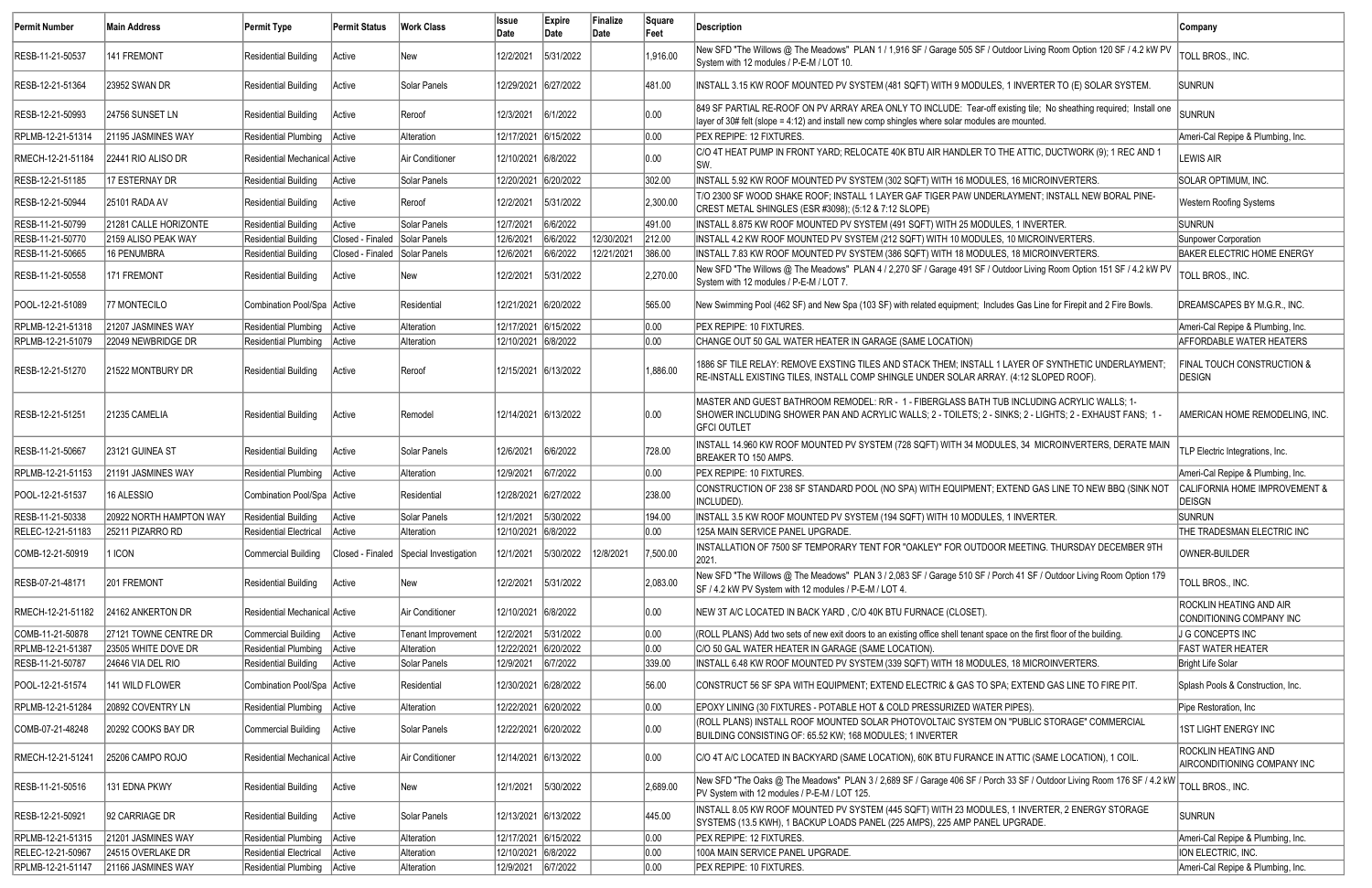| Permit Number     | Main Address            | Permit Type                   | <b>Permit Status</b>          | <b>Work Class</b>                      | <b>Issue</b><br>Date | Expire<br>Date | Finalize<br>Date | Square<br>Feet | Description                                                                                                                                                                                                                    | Company                                                   |
|-------------------|-------------------------|-------------------------------|-------------------------------|----------------------------------------|----------------------|----------------|------------------|----------------|--------------------------------------------------------------------------------------------------------------------------------------------------------------------------------------------------------------------------------|-----------------------------------------------------------|
| RESB-11-21-50537  | 141 FREMONT             | <b>Residential Building</b>   | Active                        | New                                    | 12/2/2021            | 5/31/2022      |                  | 1,916.00       | New SFD "The Willows @ The Meadows" PLAN 1 / 1,916 SF / Garage 505 SF / Outdoor Living Room Option 120 SF / 4.2 kW PV<br>System with 12 modules / P-E-M / LOT 10.                                                              | TOLL BROS., INC.                                          |
| RESB-12-21-51364  | 23952 SWAN DR           | <b>Residential Building</b>   | Active                        | Solar Panels                           | 12/29/2021 6/27/2022 |                |                  | 481.00         | INSTALL 3.15 KW ROOF MOUNTED PV SYSTEM (481 SQFT) WITH 9 MODULES, 1 INVERTER TO (E) SOLAR SYSTEM.                                                                                                                              | <b>SUNRUN</b>                                             |
| RESB-12-21-50993  | 24756 SUNSET LN         | <b>Residential Building</b>   | Active                        | Reroof                                 | 12/3/2021            | 6/1/2022       |                  | 0.00           | 849 SF PARTIAL RE-ROOF ON PV ARRAY AREA ONLY TO INCLUDE: Tear-off existing tile; No sheathing required; Install one<br>Iayer of 30# felt (slope = 4:12) and install new comp shingles where solar modules are mounted          | <b>SUNRUN</b>                                             |
| RPLMB-12-21-51314 | 21195 JASMINES WAY      | <b>Residential Plumbing</b>   | Active                        | Alteration                             | 12/17/2021 6/15/2022 |                |                  | 0.00           | PEX REPIPE: 12 FIXTURES.                                                                                                                                                                                                       | Ameri-Cal Repipe & Plumbing, Inc.                         |
| RMECH-12-21-51184 | 22441 RIO ALISO DR      | Residential Mechanical Active |                               | Air Conditioner                        | 12/10/2021 6/8/2022  |                |                  | 0.00           | C/O 4T HEAT PUMP IN FRONT YARD; RELOCATE 40K BTU AIR HANDLER TO THE ATTIC, DUCTWORK (9); 1 REC AND 1<br>lsw.                                                                                                                   | LEWIS AIR                                                 |
| RESB-12-21-51185  | 17 ESTERNAY DR          | <b>Residential Building</b>   | Active                        | Solar Panels                           | 12/20/2021 6/20/2022 |                |                  | 302.00         | INSTALL 5.92 KW ROOF MOUNTED PV SYSTEM (302 SQFT) WITH 16 MODULES, 16 MICROINVERTERS.                                                                                                                                          | SOLAR OPTIMUM, INC.                                       |
| RESB-12-21-50944  | 25101 RADA AV           | <b>Residential Building</b>   | Active                        | Reroof                                 | 12/2/2021            | 5/31/2022      |                  | 2,300.00       | T/O 2300 SF WOOD SHAKE ROOF; INSTALL 1 LAYER GAF TIGER PAW UNDERLAYMENT; INSTALL NEW BORAL PINE-<br>CREST METAL SHINGLES (ESR #3098); (5:12 & 7:12 SLOPE)                                                                      | <b>Western Roofing Systems</b>                            |
| RESB-11-21-50799  | 21281 CALLE HORIZONTE   | <b>Residential Building</b>   | Active                        | Solar Panels                           | 12/7/2021            | 6/6/2022       |                  | 491.00         | INSTALL 8.875 KW ROOF MOUNTED PV SYSTEM (491 SQFT) WITH 25 MODULES, 1 INVERTER.                                                                                                                                                | <b>SUNRUN</b>                                             |
| RESB-11-21-50770  | 2159 ALISO PEAK WAY     | <b>Residential Building</b>   | Closed - Finaled              | Solar Panels                           | 12/6/2021            | 6/6/2022       | 12/30/2021       | 212.00         | INSTALL 4.2 KW ROOF MOUNTED PV SYSTEM (212 SQFT) WITH 10 MODULES, 10 MICROINVERTERS.                                                                                                                                           | Sunpower Corporation                                      |
| RESB-11-21-50665  | 16 PENUMBRA             | <b>Residential Building</b>   | Closed - Finaled Solar Panels |                                        | 12/6/2021            | 6/6/2022       | 12/21/2021       | 386.00         | INSTALL 7.83 KW ROOF MOUNTED PV SYSTEM (386 SQFT) WITH 18 MODULES, 18 MICROINVERTERS.                                                                                                                                          | <b>BAKER ELECTRIC HOME ENERGY</b>                         |
| RESB-11-21-50558  | 171 FREMONT             | <b>Residential Building</b>   | Active                        | New                                    | 12/2/2021            | 5/31/2022      |                  | 2,270.00       | New SFD "The Willows @ The Meadows" PLAN 4 / 2,270 SF / Garage 491 SF / Outdoor Living Room Option 151 SF / 4.2 kW PV<br>System with 12 modules / P-E-M / LOT 7.                                                               | TOLL BROS., INC.                                          |
| POOL-12-21-51089  | 77 MONTECILO            | Combination Pool/Spa Active   |                               | Residential                            | 12/21/2021 6/20/2022 |                |                  | 565.00         | New Swimming Pool (462 SF) and New Spa (103 SF) with related equipment; Includes Gas Line for Firepit and 2 Fire Bowls.                                                                                                        | DREAMSCAPES BY M.G.R., INC.                               |
| RPLMB-12-21-51318 | 21207 JASMINES WAY      | Residential Plumbing   Active |                               | Alteration                             | 12/17/2021 6/15/2022 |                |                  | 0.00           | PEX REPIPE: 10 FIXTURES.                                                                                                                                                                                                       | Ameri-Cal Repipe & Plumbing, Inc.                         |
| RPLMB-12-21-51079 | 22049 NEWBRIDGE DR      | Residential Plumbing Active   |                               | Alteration                             | 12/10/2021 6/8/2022  |                |                  | 0.00           | CHANGE OUT 50 GAL WATER HEATER IN GARAGE (SAME LOCATION)                                                                                                                                                                       | <b>AFFORDABLE WATER HEATERS</b>                           |
| RESB-12-21-51270  | 21522 MONTBURY DR       | Residential Building          | Active                        | Reroof                                 | 12/15/2021 6/13/2022 |                |                  | 1,886.00       | 1886 SF TILE RELAY: REMOVE EXSTING TILES AND STACK THEM; INSTALL 1 LAYER OF SYNTHETIC UNDERLAYMENT;<br>RE-INSTALL EXISTING TILES, INSTALL COMP SHINGLE UNDER SOLAR ARRAY. (4:12 SLOPED ROOF).                                  | <b>FINAL TOUCH CONSTRUCTION &amp;</b><br><b>DESIGN</b>    |
| RESB-12-21-51251  | 21235 CAMELIA           | <b>Residential Building</b>   | Active                        | Remodel                                | 12/14/2021 6/13/2022 |                |                  | 0.00           | MASTER AND GUEST BATHROOM REMODEL: R/R - 1 - FIBERGLASS BATH TUB INCLUDING ACRYLIC WALLS; 1-<br>SHOWER INCLUDING SHOWER PAN AND ACRYLIC WALLS; 2 - TOILETS; 2 - SINKS; 2 - LIGHTS; 2 - EXHAUST FANS; 1 -<br><b>GFCI OUTLET</b> | AMERICAN HOME REMODELING, INC.                            |
| RESB-11-21-50667  | 23121 GUINEA ST         | <b>Residential Building</b>   | Active                        | Solar Panels                           | 12/6/2021            | 6/6/2022       |                  | 728.00         | INSTALL 14.960 KW ROOF MOUNTED PV SYSTEM (728 SQFT) WITH 34 MODULES, 34 MICROINVERTERS, DERATE MAIN<br>BREAKER TO 150 AMPS.                                                                                                    | TLP Electric Integrations, Inc.                           |
| RPLMB-12-21-51153 | 21191 JASMINES WAY      | <b>Residential Plumbing</b>   | Active                        | Alteration                             | 12/9/2021            | 6/7/2022       |                  | 0.00           | PEX REPIPE: 10 FIXTURES.                                                                                                                                                                                                       | Ameri-Cal Repipe & Plumbing, Inc.                         |
| POOL-12-21-51537  | 16 ALESSIO              | Combination Pool/Spa Active   |                               | Residential                            | 12/28/2021 6/27/2022 |                |                  | 238.00         | CONSTRUCTION OF 238 SF STANDARD POOL (NO SPA) WITH EQUIPMENT; EXTEND GAS LINE TO NEW BBQ (SINK NOT<br>INCLUDED).                                                                                                               | CALIFORNIA HOME IMPROVEMENT &<br><b>DEISGN</b>            |
| RESB-11-21-50338  | 20922 NORTH HAMPTON WAY | Residential Building          | Active                        | Solar Panels                           |                      |                |                  | 194.00         | INSTALL 3.5 KW ROOF MOUNTED PV SYSTEM (194 SQFT) WITH 10 MODULES, 1 INVERTER.                                                                                                                                                  | <b>SUNRUN</b>                                             |
| RELEC-12-21-51183 | 25211 PIZARRO RD        | <b>Residential Electrical</b> | Active                        | Alteration                             | 12/10/2021 6/8/2022  |                |                  | 0.00           | 125A MAIN SERVICE PANEL UPGRADE.                                                                                                                                                                                               | THE TRADESMAN ELECTRIC INC                                |
| COMB-12-21-50919  | I ICON                  | <b>Commercial Building</b>    |                               | Closed - Finaled Special Investigation | 12/1/2021            | 5/30/2022      | 12/8/2021        | 7,500.00       | INSTALLATION OF 7500 SF TEMPORARY TENT FOR "OAKLEY" FOR OUTDOOR MEETING. THURSDAY DECEMBER 9TH<br>2021.                                                                                                                        | OWNER-BUILDER                                             |
| RESB-07-21-48171  | 201 FREMONT             | <b>Residential Building</b>   | Active                        | ∣New                                   | 12/2/2021            | 5/31/2022      |                  | 2,083.00       | New SFD "The Willows @ The Meadows" PLAN 3 / 2,083 SF / Garage 510 SF / Porch 41 SF / Outdoor Living Room Option 179<br>SF / 4.2 kW PV System with 12 modules / P-E-M / LOT 4.                                                 | TOLL BROS., INC.                                          |
| RMECH-12-21-51182 | 24162 ANKERTON DR       | Residential Mechanical Active |                               | Air Conditioner                        | 12/10/2021 6/8/2022  |                |                  | 0.00           | NEW 3T A/C LOCATED IN BACK YARD, C/O 40K BTU FURNACE (CLOSET).                                                                                                                                                                 | ROCKLIN HEATING AND AIR<br>CONDITIONING COMPANY INC       |
| COMB-11-21-50878  | 27121 TOWNE CENTRE DR   | Commercial Building   Active  |                               | Tenant Improvement                     | 12/2/2021            | 5/31/2022      |                  | 0.00           | (ROLL PLANS) Add two sets of new exit doors to an existing office shell tenant space on the first floor of the building.                                                                                                       | J G CONCEPTS INC                                          |
| RPLMB-12-21-51387 | 23505 WHITE DOVE DR     | Residential Plumbing   Active |                               | <b>Alteration</b>                      | 12/22/2021           | 6/20/2022      |                  | 0.00           | C/O 50 GAL WATER HEATER IN GARAGE (SAME LOCATION).                                                                                                                                                                             | <b>FAST WATER HEATER</b>                                  |
| RESB-11-21-50787  | 24646 VIA DEL RIO       | <b>Residential Building</b>   | Active                        | Solar Panels                           | 12/9/2021            | 6/7/2022       |                  | 339.00         | INSTALL 6.48 KW ROOF MOUNTED PV SYSTEM (339 SQFT) WITH 18 MODULES, 18 MICROINVERTERS.                                                                                                                                          | Bright Life Solar                                         |
| POOL-12-21-51574  | 141 WILD FLOWER         | Combination Pool/Spa Active   |                               | Residential                            | 12/30/2021 6/28/2022 |                |                  | 56.00          | CONSTRUCT 56 SF SPA WITH EQUIPMENT; EXTEND ELECTRIC & GAS TO SPA; EXTEND GAS LINE TO FIRE PIT.                                                                                                                                 | Splash Pools & Construction, Inc.                         |
| RPLMB-12-21-51284 | 20892 COVENTRY LN       | Residential Plumbing   Active |                               | Alteration                             | 12/22/2021 6/20/2022 |                |                  | 0.00           | EPOXY LINING (30 FIXTURES - POTABLE HOT & COLD PRESSURIZED WATER PIPES).                                                                                                                                                       | Pipe Restoration, Inc.                                    |
| COMB-07-21-48248  | 20292 COOKS BAY DR      | Commercial Building   Active  |                               | Solar Panels                           | 12/22/2021 6/20/2022 |                |                  | 0.00           | (ROLL PLANS) INSTALL ROOF MOUNTED SOLAR PHOTOVOLTAIC SYSTEM ON "PUBLIC STORAGE" COMMERCIAL<br>BUILDING CONSISTING OF: 65.52 KW; 168 MODULES; 1 INVERTER                                                                        | 1ST LIGHT ENERGY INC                                      |
| RMECH-12-21-51241 | 25206 CAMPO ROJO        | Residential Mechanical Active |                               | Air Conditioner                        | 12/14/2021 6/13/2022 |                |                  | 0.00           | C/O 4T A/C LOCATED IN BACKYARD (SAME LOCATION), 60K BTU FURANCE IN ATTIC (SAME LOCATION), 1 COIL.                                                                                                                              | <b>ROCKLIN HEATING AND</b><br>AIRCONDITIONING COMPANY INC |
| RESB-11-21-50516  | 131 EDNA PKWY           | <b>Residential Building</b>   | Active                        | New                                    | 12/1/2021            | 5/30/2022      |                  | 2,689.00       | New SFD "The Oaks @ The Meadows" PLAN 3 / 2,689 SF / Garage 406 SF / Porch 33 SF / Outdoor Living Room 176 SF / 4.2 kW<br>PV System with 12 modules / P-E-M / LOT 125.                                                         | TOLL BROS., INC.                                          |
| RESB-12-21-50921  | 92 CARRIAGE DR          | <b>Residential Building</b>   | Active                        | Solar Panels                           | 12/13/2021 6/13/2022 |                |                  | 445.00         | INSTALL 8.05 KW ROOF MOUNTED PV SYSTEM (445 SQFT) WITH 23 MODULES, 1 INVERTER, 2 ENERGY STORAGE<br>SYSTEMS (13.5 KWH), 1 BACKUP LOADS PANEL (225 AMPS), 225 AMP PANEL UPGRADE.                                                 | <b>SUNRUN</b>                                             |
| RPLMB-12-21-51315 | 21201 JASMINES WAY      | Residential Plumbing   Active |                               | Alteration                             | 12/17/2021 6/15/2022 |                |                  | 0.00           | PEX REPIPE: 12 FIXTURES.                                                                                                                                                                                                       | Ameri-Cal Repipe & Plumbing, Inc.                         |
| RELEC-12-21-50967 | 24515 OVERLAKE DR       | Residential Electrical        | Active                        | Alteration                             | 12/10/2021 6/8/2022  |                |                  | 0.00           | 100A MAIN SERVICE PANEL UPGRADE.                                                                                                                                                                                               | <b>ION ELECTRIC, INC.</b>                                 |
| RPLMB-12-21-51147 | 21166 JASMINES WAY      | Residential Plumbing   Active |                               | Alteration                             | 12/9/2021 6/7/2022   |                |                  | 0.00           | PEX REPIPE: 10 FIXTURES.                                                                                                                                                                                                       | Ameri-Cal Repipe & Plumbing, Inc.                         |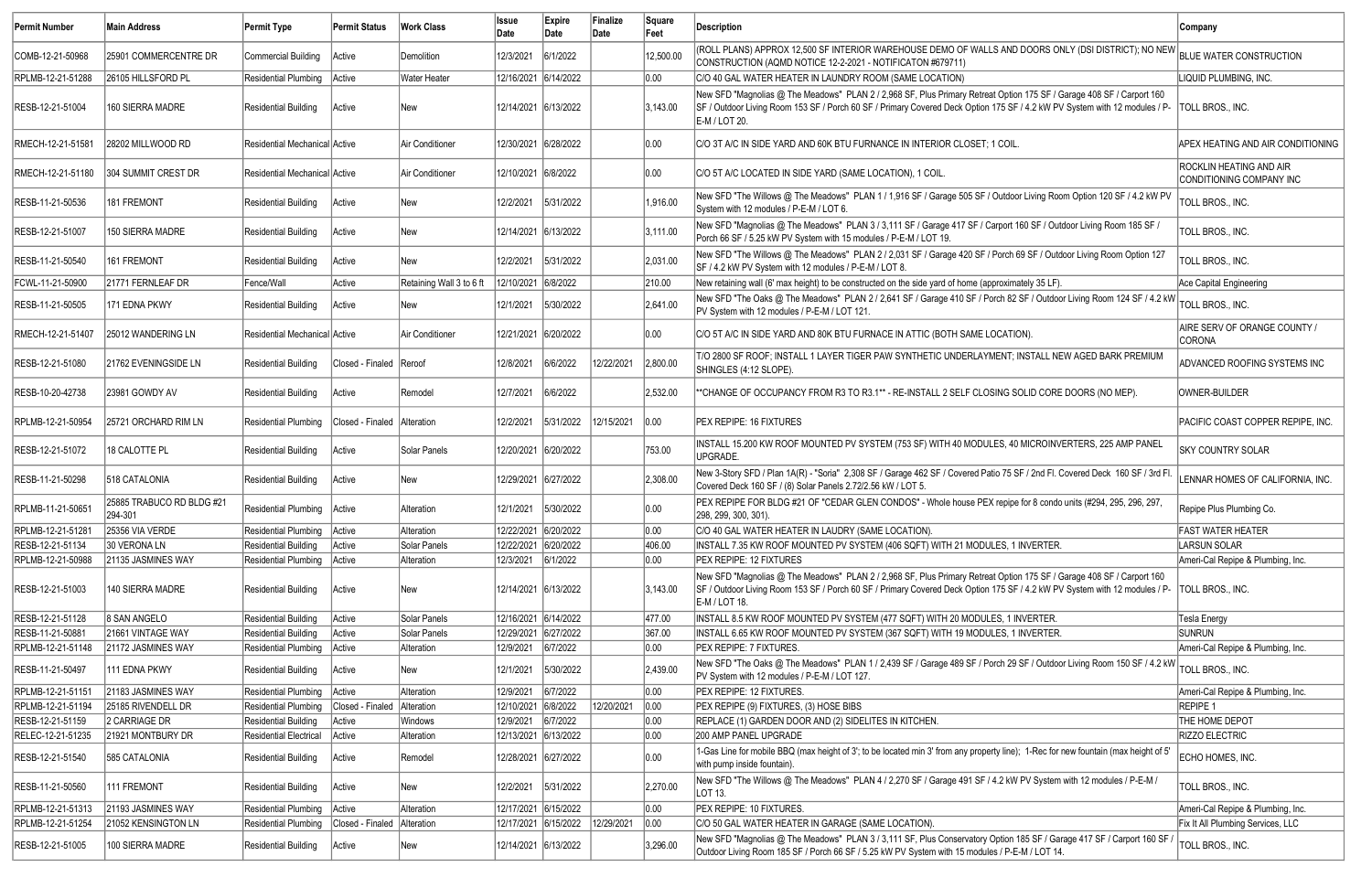| Permit Number                         | <b>Main Address</b>                  | Permit Type                                    | Permit Status                 | <b>Work Class</b>       | <b>Issue</b><br>Date                         | Expire<br>Date | Finalize<br>Date | Square<br>Feet | Description                                                                                                                                                                                                                                                          | Company                                                    |
|---------------------------------------|--------------------------------------|------------------------------------------------|-------------------------------|-------------------------|----------------------------------------------|----------------|------------------|----------------|----------------------------------------------------------------------------------------------------------------------------------------------------------------------------------------------------------------------------------------------------------------------|------------------------------------------------------------|
| COMB-12-21-50968                      | 25901 COMMERCENTRE DR                | Commercial Building                            | Active                        | Demolition              | 12/3/2021                                    | 6/1/2022       |                  | 12,500.00      | (ROLL PLANS) APPROX 12,500 SF INTERIOR WAREHOUSE DEMO OF WALLS AND DOORS ONLY (DSI DISTRICT); NO NEW<br>CONSTRUCTION (AQMD NOTICE 12-2-2021 - NOTIFICATON #679711)                                                                                                   | <b>BLUE WATER CONSTRUCTION</b>                             |
| RPLMB-12-21-51288                     | 26105 HILLSFORD PL                   | Residential Plumbing                           | Active                        | <b>Water Heater</b>     | 12/16/2021 6/14/2022                         |                |                  | 0.00           | C/O 40 GAL WATER HEATER IN LAUNDRY ROOM (SAME LOCATION)                                                                                                                                                                                                              | LIQUID PLUMBING. INC.                                      |
| RESB-12-21-51004                      | 160 SIERRA MADRE                     | Residential Building                           | Active                        | New                     | 12/14/2021 6/13/2022                         |                |                  | 3,143.00       | New SFD "Magnolias @ The Meadows" PLAN 2 / 2,968 SF, Plus Primary Retreat Option 175 SF / Garage 408 SF / Carport 160<br>SF / Outdoor Living Room 153 SF / Porch 60 SF / Primary Covered Deck Option 175 SF / 4.2 kW PV System with 12 modules / P-<br>E-M / LOT 20. | TOLL BROS., INC.                                           |
| RMECH-12-21-51581                     | 28202 MILLWOOD RD                    | Residential Mechanical Active                  |                               | Air Conditioner         | 12/30/2021 6/28/2022                         |                |                  | 0.00           | C/O 3T A/C IN SIDE YARD AND 60K BTU FURNANCE IN INTERIOR CLOSET; 1 COIL.                                                                                                                                                                                             | APEX HEATING AND AIR CONDITIONING                          |
| RMECH-12-21-51180                     | <b>304 SUMMIT CREST DR</b>           | Residential Mechanical Active                  |                               | Air Conditioner         | 12/10/2021 6/8/2022                          |                |                  | 0.00           | C/O 5T A/C LOCATED IN SIDE YARD (SAME LOCATION), 1 COIL                                                                                                                                                                                                              | <b>ROCKLIN HEATING AND AIR</b><br>CONDITIONING COMPANY INC |
| RESB-11-21-50536                      | 181 FREMONT                          | <b>Residential Building</b>                    | Active                        | New                     | 12/2/2021                                    | 5/31/2022      |                  | 1,916.00       | New SFD "The Willows @ The Meadows" PLAN 1 / 1,916 SF / Garage 505 SF / Outdoor Living Room Option 120 SF / 4.2 kW PV<br>System with 12 modules / P-E-M / LOT 6.                                                                                                     | TOLL BROS., INC.                                           |
| RESB-12-21-51007                      | 150 SIERRA MADRE                     | Residential Building                           | Active                        | New                     | 12/14/2021 6/13/2022                         |                |                  | 3,111.00       | New SFD "Magnolias @ The Meadows" PLAN 3 / 3,111 SF / Garage 417 SF / Carport 160 SF / Outdoor Living Room 185 SF /<br>Porch 66 SF / 5.25 kW PV System with 15 modules / P-E-M / LOT 19.                                                                             | TOLL BROS., INC.                                           |
| RESB-11-21-50540                      | 161 FREMONT                          | <b>Residential Building</b>                    | Active                        | New                     | 12/2/2021                                    | 5/31/2022      |                  | 2,031.00       | New SFD "The Willows @ The Meadows" PLAN 2 / 2,031 SF / Garage 420 SF / Porch 69 SF / Outdoor Living Room Option 127<br>SF / 4.2 kW PV System with 12 modules / P-E-M / LOT 8.                                                                                       | TOLL BROS., INC.                                           |
| FCWL-11-21-50900                      | 21771 FERNLEAF DR                    | Fence/Wall                                     | Active                        | Retaining Wall 3 to 6 f | 12/10/2021 6/8/2022                          |                |                  | 210.00         | New retaining wall (6' max height) to be constructed on the side yard of home (approximately 35 LF).                                                                                                                                                                 | Ace Capital Engineering                                    |
| RESB-11-21-50505                      | 171 EDNA PKWY                        | <b>Residential Building</b>                    | Active                        | New                     | 12/1/2021                                    | 5/30/2022      |                  | 2,641.00       | New SFD "The Oaks @ The Meadows" PLAN 2/2,641 SF / Garage 410 SF / Porch 82 SF / Outdoor Living Room 124 SF / 4.2 kW<br>PV System with 12 modules / P-E-M / LOT 121.                                                                                                 | TOLL BROS., INC.                                           |
| RMECH-12-21-51407                     | 25012 WANDERING LN                   | Residential Mechanical Active                  |                               | Air Conditioner         | 12/21/2021 6/20/2022                         |                |                  | 0.00           | C/O 5T A/C IN SIDE YARD AND 80K BTU FURNACE IN ATTIC (BOTH SAME LOCATION).                                                                                                                                                                                           | AIRE SERV OF ORANGE COUNTY /<br><b>CORONA</b>              |
| RESB-12-21-51080                      | 21762 EVENINGSIDE LN                 | <b>Residential Building</b>                    | Closed - Finaled Reroof       |                         | 12/8/2021                                    | 6/6/2022       | 12/22/2021       | 2,800.00       | T/O 2800 SF ROOF; INSTALL 1 LAYER TIGER PAW SYNTHETIC UNDERLAYMENT; INSTALL NEW AGED BARK PREMIUM <br>SHINGLES (4:12 SLOPE).                                                                                                                                         | ADVANCED ROOFING SYSTEMS INC                               |
| RESB-10-20-42738                      | 23981 GOWDY AV                       | <b>Residential Building</b>                    | Active                        | Remodel                 | 12/7/2021                                    | 6/6/2022       |                  | 2,532.00       | **CHANGE OF OCCUPANCY FROM R3 TO R3.1** - RE-INSTALL 2 SELF CLOSING SOLID CORE DOORS (NO MEP).                                                                                                                                                                       | <b>OWNER-BUILDER</b>                                       |
| RPLMB-12-21-50954                     | 25721 ORCHARD RIM LN                 | <b>Residential Plumbing</b>                    | Closed - Finaled Alteration   |                         | 12/2/2021                                    | 5/31/2022      | 12/15/2021       | 0.00           | <b>PEX REPIPE: 16 FIXTURES</b>                                                                                                                                                                                                                                       | PACIFIC COAST COPPER REPIPE, INC.                          |
| RESB-12-21-51072                      | 18 CALOTTE PL                        | Residential Building                           | Active                        | Solar Panels            | 12/20/2021 6/20/2022                         |                |                  | 753.00         | INSTALL 15.200 KW ROOF MOUNTED PV SYSTEM (753 SF) WITH 40 MODULES, 40 MICROINVERTERS, 225 AMP PANEL<br>UPGRADE.                                                                                                                                                      | <b>SKY COUNTRY SOLAR</b>                                   |
| RESB-11-21-50298                      | 518 CATALONIA                        | Residential Building                           | Active                        | New                     | 12/29/2021 6/27/2022                         |                |                  | 2,308.00       | New 3-Story SFD / Plan 1A(R) - "Soria" 2,308 SF / Garage 462 SF / Covered Patio 75 SF / 2nd Fl. Covered Deck 160 SF / 3rd Fl.<br>Covered Deck 160 SF / (8) Solar Panels 2.72/2.56 kW / LOT 5.                                                                        | LENNAR HOMES OF CALIFORNIA, INC.                           |
| RPLMB-11-21-50651                     | 25885 TRABUCO RD BLDG #21<br>294-301 | Residential Plumbing   Active                  |                               | Alteration              |                                              |                |                  | 0.00           | PEX REPIPE FOR BLDG #21 OF "CEDAR GLEN CONDOS" - Whole house PEX repipe for 8 condo units (#294, 295, 296, 297<br>298, 299, 300, 301).                                                                                                                               | Repipe Plus Plumbing Co.                                   |
| RPLMB-12-21-51281                     | 25356 VIA VERDE                      | Residential Plumbing   Active                  |                               | Alteration              | 12/22/2021 6/20/2022                         |                |                  | 0.00           | C/O 40 GAL WATER HEATER IN LAUDRY (SAME LOCATION).                                                                                                                                                                                                                   | <b>FAST WATER HEATER</b>                                   |
| RESB-12-21-51134                      | 30 VERONA LN                         | <b>Residential Building</b>                    | Active                        | Solar Panels            | 12/22/2021 6/20/2022                         |                |                  | 406.00         | INSTALL 7.35 KW ROOF MOUNTED PV SYSTEM (406 SQFT) WITH 21 MODULES, 1 INVERTER.                                                                                                                                                                                       | <b>LARSUN SOLAR</b>                                        |
| RPLMB-12-21-50988                     | 21135 JASMINES WAY                   | Residential Plumbing Active                    |                               | Alteration              | 12/3/2021                                    | 6/1/2022       |                  | 0.00           | <b>PEX REPIPE: 12 FIXTURES</b>                                                                                                                                                                                                                                       | Ameri-Cal Repipe & Plumbing, Inc.                          |
| RESB-12-21-51003                      | 140 SIERRA MADRE                     | Residential Building                           | Active                        | New                     | 12/14/2021 6/13/2022                         |                |                  | 3,143.00       | New SFD "Magnolias @ The Meadows" PLAN 2 / 2,968 SF, Plus Primary Retreat Option 175 SF / Garage 408 SF / Carport 160<br>SF / Outdoor Living Room 153 SF / Porch 60 SF / Primary Covered Deck Option 175 SF / 4.2 kW PV System with 12 modules / P-<br>E-M / LOT 18. | TOLL BROS., INC.                                           |
| RESB-12-21-51128                      | 8 SAN ANGELO                         | Residential Building                           | Active                        | Solar Panels            | 12/16/2021 6/14/2022                         |                |                  | 477.00         | INSTALL 8.5 KW ROOF MOUNTED PV SYSTEM (477 SQFT) WITH 20 MODULES, 1 INVERTER.                                                                                                                                                                                        | <b>Tesla Energy</b>                                        |
| RESB-11-21-50881                      | 21661 VINTAGE WAY                    | Residential Building                           | Active                        | Solar Panels            | 12/29/2021 6/27/2022                         |                |                  | 367.00         | INSTALL 6.65 KW ROOF MOUNTED PV SYSTEM (367 SQFT) WITH 19 MODULES, 1 INVERTER.                                                                                                                                                                                       | <b>SUNRUN</b>                                              |
| RPLMB-12-21-51148                     | 21172 JASMINES WAY                   | Residential Plumbing                           | Active                        | Alteration              | 12/9/2021                                    | 6/7/2022       |                  | 0.00           | <b>PEX REPIPE: 7 FIXTURES.</b>                                                                                                                                                                                                                                       | Ameri-Cal Repipe & Plumbing, Inc.                          |
| RESB-11-21-50497                      | 111 EDNA PKWY                        | Residential Building                           | Active                        | New                     | 12/1/2021                                    | 5/30/2022      |                  | 2,439.00       | New SFD "The Oaks @ The Meadows" PLAN 1 / 2,439 SF / Garage 489 SF / Porch 29 SF / Outdoor Living Room 150 SF / 4.2 kW<br>PV System with 12 modules / P-E-M / LOT 127.                                                                                               | TOLL BROS., INC.                                           |
| RPLMB-12-21-51151                     | 21183 JASMINES WAY                   | Residential Plumbing   Active                  |                               | Alteration              | 12/9/2021                                    | 6/7/2022       |                  | 0.00           | PEX REPIPE: 12 FIXTURES.                                                                                                                                                                                                                                             | Ameri-Cal Repipe & Plumbing, Inc.                          |
| RPLMB-12-21-51194                     | 25185 RIVENDELL DR                   | <b>Residential Plumbing</b>                    | Closed - Finaled   Alteration |                         | 12/10/2021 6/8/2022                          |                | 12/20/2021       | 0.00           | PEX REPIPE (9) FIXTURES, (3) HOSE BIBS                                                                                                                                                                                                                               | <b>REPIPE 1</b>                                            |
| RESB-12-21-51159                      | 2 CARRIAGE DR                        | Residential Building                           | Active                        | Windows                 | 12/9/2021                                    | 6/7/2022       |                  | 0.00           | REPLACE (1) GARDEN DOOR AND (2) SIDELITES IN KITCHEN.                                                                                                                                                                                                                | THE HOME DEPOT                                             |
| RELEC-12-21-51235<br>RESB-12-21-51540 | 21921 MONTBURY DR<br>585 CATALONIA   | Residential Electrical<br>Residential Building | Active<br>Active              | Alteration<br>Remodel   | 12/13/2021 6/13/2022<br>12/28/2021 6/27/2022 |                |                  | 0.00 <br> 0.00 | 200 AMP PANEL UPGRADE<br>1-Gas Line for mobile BBQ (max height of 3'; to be located min 3' from any property line); 1-Rec for new fountain (max height of 5'                                                                                                         | <b>RIZZO ELECTRIC</b><br>ECHO HOMES, INC.                  |
| RESB-11-21-50560                      | 111 FREMONT                          | Residential Building                           | Active                        | New                     | 12/2/2021                                    | 5/31/2022      |                  | 2,270.00       | with pump inside fountain).<br>New SFD "The Willows @ The Meadows" PLAN 4 / 2,270 SF / Garage 491 SF / 4.2 kW PV System with 12 modules / P-E-M /                                                                                                                    | TOLL BROS., INC.                                           |
| RPLMB-12-21-51313                     | 21193 JASMINES WAY                   | Residential Plumbing                           | Active                        | Alteration              | 12/17/2021 6/15/2022                         |                |                  | 0.00           | LOT 13.<br>PEX REPIPE: 10 FIXTURES.                                                                                                                                                                                                                                  | Ameri-Cal Repipe & Plumbing, Inc.                          |
| RPLMB-12-21-51254                     | 21052 KENSINGTON LN                  | Residential Plumbing                           | Closed - Finaled Alteration   |                         | 12/17/2021 6/15/2022                         |                | 12/29/2021       | 0.00           | C/O 50 GAL WATER HEATER IN GARAGE (SAME LOCATION).                                                                                                                                                                                                                   | Fix It All Plumbing Services, LLC                          |
| RESB-12-21-51005                      | 100 SIERRA MADRE                     | Residential Building                           | Active                        | New                     | 12/14/2021 6/13/2022                         |                |                  | 3,296.00       | New SFD "Magnolias @ The Meadows" PLAN 3 / 3,111 SF, Plus Conservatory Option 185 SF / Garage 417 SF / Carport 160 SF<br>Outdoor Living Room 185 SF / Porch 66 SF / 5.25 kW PV System with 15 modules / P-E-M / LOT 14.                                              | TOLL BROS., INC.                                           |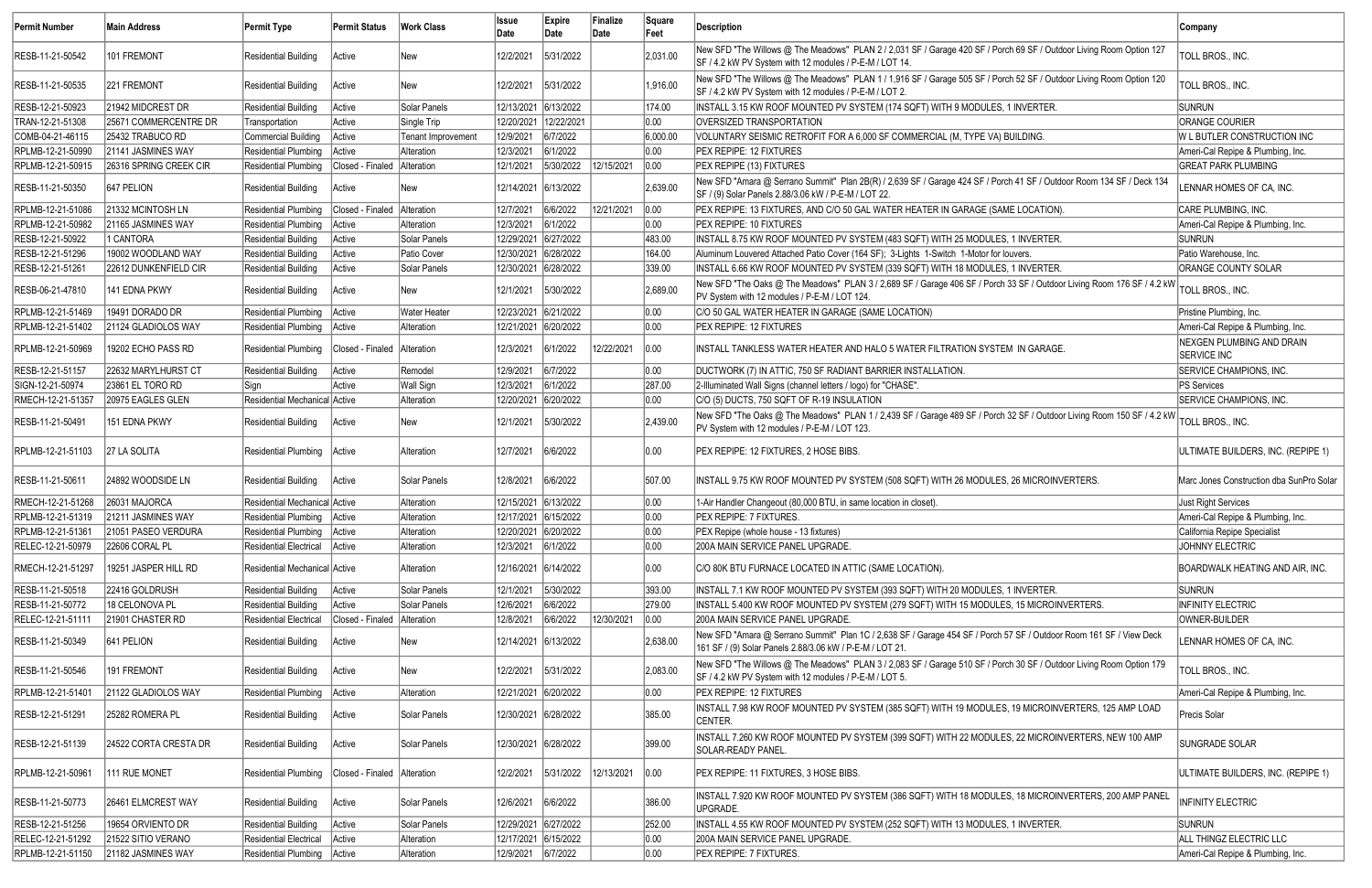| <b>Permit Number</b> | <b>Main Address</b>    | Permit Type                   | <b>Permit Status</b>        | <b>Work Class</b>   | <b>Issue</b><br>Date | Expire<br>Date | Finalize<br>Date | Square<br>Feet | <b>Description</b>                                                                                                                                                              | Company                                         |
|----------------------|------------------------|-------------------------------|-----------------------------|---------------------|----------------------|----------------|------------------|----------------|---------------------------------------------------------------------------------------------------------------------------------------------------------------------------------|-------------------------------------------------|
| RESB-11-21-50542     | 101 FREMONT            | <b>Residential Building</b>   | Active                      | New                 | 12/2/2021            | 5/31/2022      |                  | 2,031.00       | New SFD "The Willows @ The Meadows" PLAN 2 / 2,031 SF / Garage 420 SF / Porch 69 SF / Outdoor Living Room Option 127<br>SF / 4.2 kW PV System with 12 modules / P-E-M / LOT 14. | TOLL BROS., INC.                                |
| RESB-11-21-50535     | 221 FREMONT            | <b>Residential Building</b>   | Active                      | New                 | 12/2/2021            | 5/31/2022      |                  | 1,916.00       | New SFD "The Willows @ The Meadows" PLAN 1 / 1,916 SF / Garage 505 SF / Porch 52 SF / Outdoor Living Room Option 120<br>SF / 4.2 kW PV System with 12 modules / P-E-M / LOT 2.  | TOLL BROS., INC.                                |
| RESB-12-21-50923     | 21942 MIDCREST DR      | <b>Residential Building</b>   | Active                      | Solar Panels        | 12/13/2021 6/13/2022 |                |                  | 174.00         | INSTALL 3.15 KW ROOF MOUNTED PV SYSTEM (174 SQFT) WITH 9 MODULES, 1 INVERTER.                                                                                                   | <b>SUNRUN</b>                                   |
| TRAN-12-21-51308     | 25671 COMMERCENTRE DR  | Transportation                | Active                      | Single Trip         | 12/20/2021           | 12/22/2021     |                  | 0.00           | OVERSIZED TRANSPORTATION                                                                                                                                                        | <b>ORANGE COURIER</b>                           |
| COMB-04-21-46115     | 25432 TRABUCO RD       | <b>Commercial Building</b>    | Active                      | Tenant Improvement  | 12/9/2021            | 6/7/2022       |                  | 6,000.00       | VOLUNTARY SEISMIC RETROFIT FOR A 6,000 SF COMMERCIAL (M, TYPE VA) BUILDING.                                                                                                     | W L BUTLER CONSTRUCTION INC                     |
| RPLMB-12-21-50990    | 21141 JASMINES WAY     | Residential Plumbing          | Active                      | Alteration          | 12/3/2021            | 6/1/2022       |                  | 0.00           | PEX REPIPE: 12 FIXTURES                                                                                                                                                         | Ameri-Cal Repipe & Plumbing, Inc.               |
| RPLMB-12-21-50915    | 26316 SPRING CREEK CIR | <b>Residential Plumbing</b>   | Closed - Finaled            | Alteration          | 12/1/2021            | 5/30/2022      | 12/15/2021       | 0.00           | PEX REPIPE (13) FIXTURES                                                                                                                                                        | <b>GREAT PARK PLUMBING</b>                      |
| RESB-11-21-50350     | 647 PELION             | <b>Residential Building</b>   | Active                      | New                 | 12/14/2021 6/13/2022 |                |                  | 2,639.00       | New SFD "Amara @ Serrano Summit" Plan 2B(R) / 2,639 SF / Garage 424 SF / Porch 41 SF / Outdoor Room 134 SF / Deck 134<br>SF / (9) Solar Panels 2.88/3.06 kW / P-E-M / LOT 22.   | LENNAR HOMES OF CA, INC.                        |
| RPLMB-12-21-51086    | 21332 MCINTOSH LN      | <b>Residential Plumbing</b>   | Closed - Finaled            | Alteration          | 12/7/2021            | 6/6/2022       | 2/21/2021        | 0.00           | PEX REPIPE: 13 FIXTURES, AND C/O 50 GAL WATER HEATER IN GARAGE (SAME LOCATION)                                                                                                  | CARE PLUMBING, INC.                             |
| RPLMB-12-21-50982    | 21165 JASMINES WAY     | Residential Plumbing Active   |                             | Alteration          | 12/3/2021            | 6/1/2022       |                  | 0.00           | PEX REPIPE: 10 FIXTURES                                                                                                                                                         | Ameri-Cal Repipe & Plumbing, Inc.               |
| RESB-12-21-50922     | 1 CANTORA              | <b>Residential Building</b>   | Active                      | Solar Panels        | 12/29/2021 6/27/2022 |                |                  | 483.00         | INSTALL 8.75 KW ROOF MOUNTED PV SYSTEM (483 SQFT) WITH 25 MODULES, 1 INVERTER.                                                                                                  | <b>SUNRUN</b>                                   |
| RESB-12-21-51296     | 19002 WOODLAND WAY     | <b>Residential Building</b>   | Active                      | Patio Cover         | 12/30/2021 6/28/2022 |                |                  | 164.00         | Aluminum Louvered Attached Patio Cover (164 SF); 3-Lights 1-Switch 1-Motor for louvers                                                                                          | Patio Warehouse, Inc.                           |
| RESB-12-21-51261     | 22612 DUNKENFIELD CIR  | Residential Building          | Active                      | Solar Panels        | 12/30/2021 6/28/2022 |                |                  | 339.00         | INSTALL 6.66 KW ROOF MOUNTED PV SYSTEM (339 SQFT) WITH 18 MODULES, 1 INVERTER.                                                                                                  | ORANGE COUNTY SOLAR                             |
| RESB-06-21-47810     | 141 EDNA PKWY          | Residential Building          | Active                      | New                 | 12/1/2021            | 5/30/2022      |                  | 2,689.00       | New SFD "The Oaks @ The Meadows" PLAN 3 / 2,689 SF / Garage 406 SF / Porch 33 SF / Outdoor Living Room 176 SF / 4.2 kW<br>PV System with 12 modules / P-E-M / LOT 124.          | TOLL BROS., INC.                                |
| RPLMB-12-21-51469    | 19491 DORADO DR        | Residential Plumbing          | Active                      | <b>Water Heater</b> | 12/23/2021 6/21/2022 |                |                  | 0.00           | C/O 50 GAL WATER HEATER IN GARAGE (SAME LOCATION)                                                                                                                               | Pristine Plumbing, Inc.                         |
| RPLMB-12-21-51402    | 21124 GLADIOLOS WAY    | Residential Plumbing   Active |                             | Alteration          | 12/21/2021 6/20/2022 |                |                  | 0.00           | PEX REPIPE: 12 FIXTURES                                                                                                                                                         | Ameri-Cal Repipe & Plumbing, Inc.               |
| RPLMB-12-21-50969    | 19202 ECHO PASS RD     | <b>Residential Plumbing</b>   | Closed - Finaled            | Alteration          | 12/3/2021            | 6/1/2022       | 12/22/2021       | 0.00           | INSTALL TANKLESS WATER HEATER AND HALO 5 WATER FILTRATION SYSTEM IN GARAGE.                                                                                                     | NEXGEN PLUMBING AND DRAIN<br><b>SERVICE INC</b> |
| RESB-12-21-51157     | 22632 MARYLHURST CT    | Residential Building          | Active                      | Remodel             | 12/9/2021            | 6/7/2022       |                  | 0.00           | DUCTWORK (7) IN ATTIC, 750 SF RADIANT BARRIER INSTALLATION.                                                                                                                     | SERVICE CHAMPIONS, INC.                         |
| SIGN-12-21-50974     | 23861 EL TORO RD       | Sign                          | Active                      | Wall Sign           | 12/3/2021            | 6/1/2022       |                  | 287.00         | 2-Illuminated Wall Signs (channel letters / logo) for "CHASE".                                                                                                                  | PS Services                                     |
| RMECH-12-21-51357    | 20975 EAGLES GLEN      | Residential Mechanical Active |                             | Alteration          | 12/20/2021 6/20/2022 |                |                  | 0.00           | C/O (5) DUCTS, 750 SQFT OF R-19 INSULATION                                                                                                                                      | SERVICE CHAMPIONS, INC.                         |
| RESB-11-21-50491     | 151 EDNA PKWY          | <b>Residential Building</b>   | Active                      | New                 | 12/1/2021            | 5/30/2022      |                  | 2,439.00       | New SFD "The Oaks @ The Meadows" PLAN 1 / 2,439 SF / Garage 489 SF / Porch 32 SF / Outdoor Living Room 150 SF / 4.2 kW<br>PV System with 12 modules / P-E-M / LOT 123.          | TOLL BROS., INC.                                |
| RPLMB-12-21-51103    | 27 LA SOLITA           | Residential Plumbing          | Active                      | Alteration          | 12/7/2021            | 6/6/2022       |                  | 0.00           | PEX REPIPE: 12 FIXTURES, 2 HOSE BIBS.                                                                                                                                           | ULTIMATE BUILDERS, INC. (REPIPE 1)              |
| RESB-11-21-50611     | 24892 WOODSIDE LN      | Residential Building          | Active                      | Solar Panels        | 12/8/2021            | 6/6/2022       |                  | 507.00         | INSTALL 9.75 KW ROOF MOUNTED PV SYSTEM (508 SQFT) WITH 26 MODULES, 26 MICROINVERTERS.                                                                                           | Marc Jones Construction dba SunPro Solar        |
| RMECH-12-21-51268    | 26031 MAJORCA          | Residential Mechanical Active |                             | Alteration          | 12/15/2021 6/13/2022 |                |                  | 0.00           | 1-Air Handler Changeout (80,000 BTU, in same location in closet).                                                                                                               | <b>Just Right Services</b>                      |
| RPLMB-12-21-51319    | 21211 JASMINES WAY     | Residential Plumbing Active   |                             | Alteration          | 12/17/2021 6/15/2022 |                |                  | 0.00           | PEX REPIPE: 7 FIXTURES.                                                                                                                                                         | Ameri-Cal Repipe & Plumbing, Inc.               |
| RPLMB-12-21-51361    | 21051 PASEO VERDURA    | Residential Plumbing   Active |                             | Alteration          | 12/20/2021 6/20/2022 |                |                  | 0.00           | PEX Repipe (whole house - 13 fixtures)                                                                                                                                          | California Repipe Specialist                    |
| RELEC-12-21-50979    | 22606 CORAL PL         | Residential Electrical Active |                             | Alteration          | 12/3/2021            | 6/1/2022       |                  | 0.00           | 200A MAIN SERVICE PANEL UPGRADE.                                                                                                                                                | JOHNNY ELECTRIC                                 |
| RMECH-12-21-51297    | 19251 JASPER HILL RD   | Residential Mechanical Active |                             | Alteration          | 12/16/2021 6/14/2022 |                |                  | 0.00           | C/O 80K BTU FURNACE LOCATED IN ATTIC (SAME LOCATION).                                                                                                                           | BOARDWALK HEATING AND AIR, INC.                 |
| RESB-11-21-50518     | 22416 GOLDRUSH         | <b>Residential Building</b>   | Active                      | Solar Panels        | 12/1/2021            | 5/30/2022      |                  | 393.00         | INSTALL 7.1 KW ROOF MOUNTED PV SYSTEM (393 SQFT) WITH 20 MODULES, 1 INVERTER.                                                                                                   | <b>SUNRUN</b>                                   |
| RESB-11-21-50772     | 18 CELONOVA PL         | <b>Residential Building</b>   | Active                      | Solar Panels        | 12/6/2021            | 6/6/2022       |                  | 279.00         | INSTALL 5.400 KW ROOF MOUNTED PV SYSTEM (279 SQFT) WITH 15 MODULES, 15 MICROINVERTERS.                                                                                          | <b>INFINITY ELECTRIC</b>                        |
| RELEC-12-21-51111    | 21901 CHASTER RD       | <b>Residential Electrical</b> | Closed - Finaled            | Alteration          | 12/8/2021            | 6/6/2022       | 12/30/2021       | 0.00           | 200A MAIN SERVICE PANEL UPGRADE.                                                                                                                                                | OWNER-BUILDER                                   |
| RESB-11-21-50349     | 641 PELION             | <b>Residential Building</b>   | Active                      | New                 | 12/14/2021 6/13/2022 |                |                  | 2,638.00       | New SFD "Amara @ Serrano Summit" Plan 1C / 2,638 SF / Garage 454 SF / Porch 57 SF / Outdoor Room 161 SF / View Deck<br>161 SF / (9) Solar Panels 2.88/3.06 kW / P-E-M / LOT 21. | LENNAR HOMES OF CA, INC.                        |
| RESB-11-21-50546     | 191 FREMONT            | <b>Residential Building</b>   | Active                      | New                 | 12/2/2021            | 5/31/2022      |                  | 2,083.00       | New SFD "The Willows @ The Meadows" PLAN 3 / 2,083 SF / Garage 510 SF / Porch 30 SF / Outdoor Living Room Option 179<br>SF / 4.2 kW PV System with 12 modules / P-E-M / LOT 5.  | TOLL BROS., INC.                                |
| RPLMB-12-21-51401    | 21122 GLADIOLOS WAY    | Residential Plumbing   Active |                             | Alteration          | 12/21/2021 6/20/2022 |                |                  | 0.00           | PEX REPIPE: 12 FIXTURES                                                                                                                                                         | Ameri-Cal Repipe & Plumbing, Inc.               |
| RESB-12-21-51291     | 25282 ROMERA PL        | <b>Residential Building</b>   | Active                      | Solar Panels        | 12/30/2021 6/28/2022 |                |                  | 385.00         | INSTALL 7.98 KW ROOF MOUNTED PV SYSTEM (385 SQFT) WITH 19 MODULES, 19 MICROINVERTERS, 125 AMP LOAD<br>CENTER.                                                                   | Precis Solar                                    |
| RESB-12-21-51139     | 24522 CORTA CRESTA DR  | Residential Building          | Active                      | Solar Panels        | 12/30/2021 6/28/2022 |                |                  | 399.00         | INSTALL 7.260 KW ROOF MOUNTED PV SYSTEM (399 SQFT) WITH 22 MODULES, 22 MICROINVERTERS, NEW 100 AMP<br>SOLAR-READY PANEL                                                         | SUNGRADE SOLAR                                  |
| RPLMB-12-21-50961    | 111 RUE MONET          | <b>Residential Plumbing</b>   | Closed - Finaled Alteration |                     | 12/2/2021            | 5/31/2022      | 12/13/2021       | 0.00           | PEX REPIPE: 11 FIXTURES, 3 HOSE BIBS.                                                                                                                                           | ULTIMATE BUILDERS, INC. (REPIPE 1)              |
| RESB-11-21-50773     | 26461 ELMCREST WAY     | <b>Residential Building</b>   | Active                      | Solar Panels        | 12/6/2021            | 6/6/2022       |                  | 386.00         | INSTALL 7.920 KW ROOF MOUNTED PV SYSTEM (386 SQFT) WITH 18 MODULES, 18 MICROINVERTERS, 200 AMP PANEL<br>UPGRADE.                                                                | <b>INFINITY ELECTRIC</b>                        |
| RESB-12-21-51256     | 19654 ORVIENTO DR      | <b>Residential Building</b>   | Active                      | Solar Panels        | 12/29/2021 6/27/2022 |                |                  | 252.00         | INSTALL 4.55 KW ROOF MOUNTED PV SYSTEM (252 SQFT) WITH 13 MODULES, 1 INVERTER.                                                                                                  | <b>SUNRUN</b>                                   |
| RELEC-12-21-51292    | 21522 SITIO VERANO     | <b>Residential Electrical</b> | Active                      | Alteration          | 12/17/2021 6/15/2022 |                |                  | 0.00           | 200A MAIN SERVICE PANEL UPGRADE.                                                                                                                                                | ALL THINGZ ELECTRIC LLC                         |
| RPLMB-12-21-51150    | 21182 JASMINES WAY     | Residential Plumbing   Active |                             | Alteration          | 12/9/2021 6/7/2022   |                |                  | 0.00           | PEX REPIPE: 7 FIXTURES.                                                                                                                                                         | Ameri-Cal Repipe & Plumbing, Inc.               |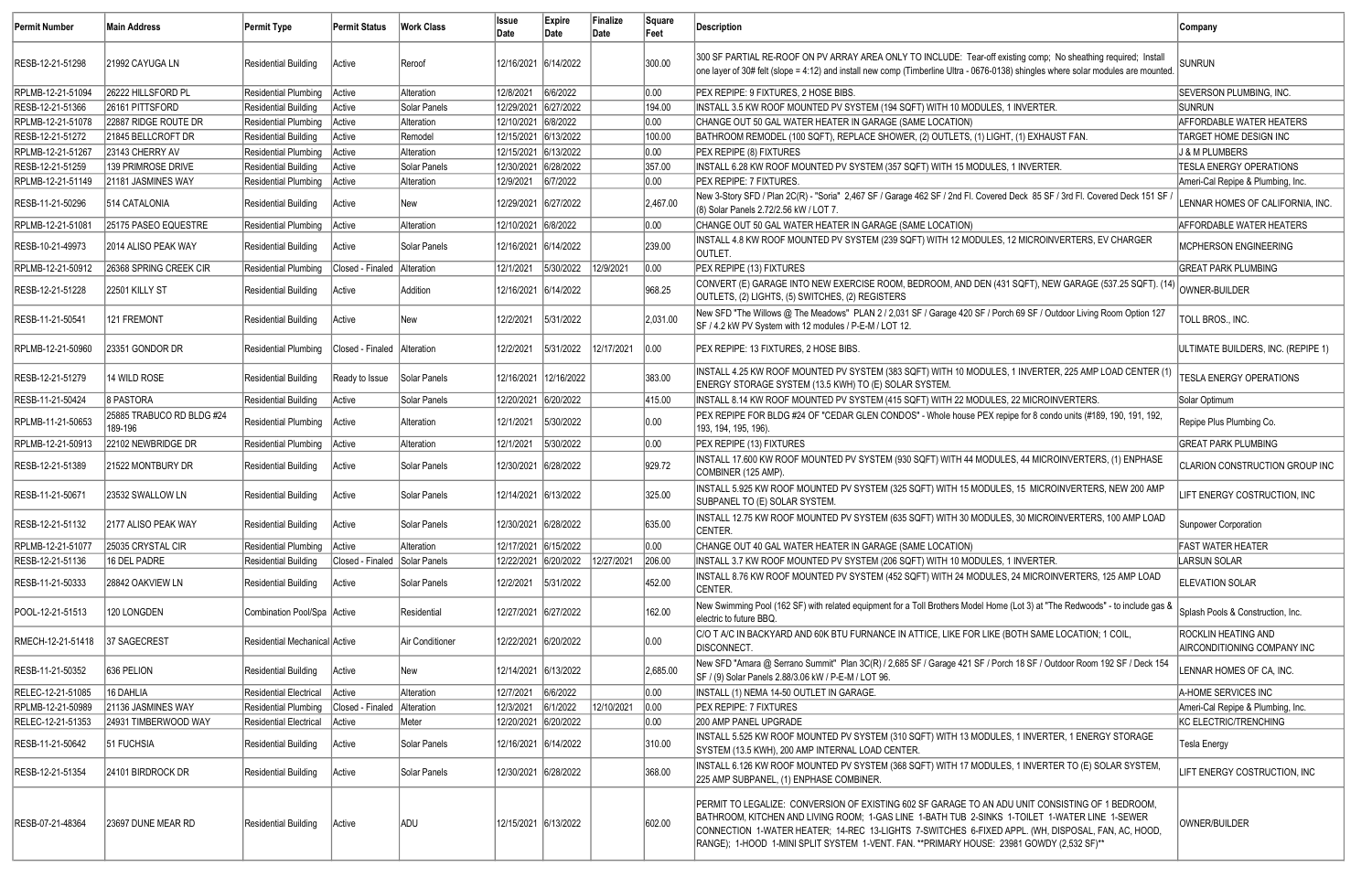| <b>Permit Number</b> | <b>Main Address</b>                  | Permit Type                   | <b>Permit Status</b>          | <b>Work Class</b> | lssue<br>Date        | Expire<br>Date | Finalize<br>Date | Square<br>Feet | Description                                                                                                                                                                                                                                                                                                                                                                                           | Company                                                   |
|----------------------|--------------------------------------|-------------------------------|-------------------------------|-------------------|----------------------|----------------|------------------|----------------|-------------------------------------------------------------------------------------------------------------------------------------------------------------------------------------------------------------------------------------------------------------------------------------------------------------------------------------------------------------------------------------------------------|-----------------------------------------------------------|
| RESB-12-21-51298     | 21992 CAYUGA LN                      | Residential Building          | Active                        | Reroof            | 12/16/2021 6/14/2022 |                |                  | 300.00         | 300 SF PARTIAL RE-ROOF ON PV ARRAY AREA ONLY TO INCLUDE: Tear-off existing comp; No sheathing required; Install<br>one layer of 30# felt (slope = 4:12) and install new comp (Timberline Ultra - 0676-0138) shingles where solar modules are mounted                                                                                                                                                  | <b>SUNRUN</b>                                             |
| RPLMB-12-21-51094    | 26222 HILLSFORD PL                   | Residential Plumbing   Active |                               | Alteration        | 12/8/2021            | 6/6/2022       |                  | 0.00           | PEX REPIPE: 9 FIXTURES, 2 HOSE BIBS.                                                                                                                                                                                                                                                                                                                                                                  | <b>SEVERSON PLUMBING, INC.</b>                            |
| RESB-12-21-51366     | 26161 PITTSFORD                      | <b>Residential Building</b>   | Active                        | Solar Panels      | 12/29/2021 6/27/2022 |                |                  | 194.00         | INSTALL 3.5 KW ROOF MOUNTED PV SYSTEM (194 SQFT) WITH 10 MODULES, 1 INVERTER.                                                                                                                                                                                                                                                                                                                         | <b>SUNRUN</b>                                             |
| RPLMB-12-21-51078    | 22887 RIDGE ROUTE DR                 | Residential Plumbing          | Active                        | Alteration        | 12/10/2021 6/8/2022  |                |                  | 0.00           | CHANGE OUT 50 GAL WATER HEATER IN GARAGE (SAME LOCATION)                                                                                                                                                                                                                                                                                                                                              | <b>AFFORDABLE WATER HEATERS</b>                           |
| RESB-12-21-51272     | 21845 BELLCROFT DR                   | Residential Building          | Active                        | Remodel           | 12/15/2021 6/13/2022 |                |                  | 100.00         | BATHROOM REMODEL (100 SQFT), REPLACE SHOWER, (2) OUTLETS, (1) LIGHT, (1) EXHAUST FAN.                                                                                                                                                                                                                                                                                                                 | TARGET HOME DESIGN INC                                    |
| RPLMB-12-21-51267    | 23143 CHERRY AV                      | Residential Plumbing          | Active                        | Alteration        | 12/15/2021 6/13/2022 |                |                  | 0.00           | PEX REPIPE (8) FIXTURES                                                                                                                                                                                                                                                                                                                                                                               | J & M PLUMBERS                                            |
| RESB-12-21-51259     | 139 PRIMROSE DRIVE                   | <b>Residential Building</b>   | Active                        | Solar Panels      | 12/30/2021 6/28/2022 |                |                  | 357.00         | INSTALL 6.28 KW ROOF MOUNTED PV SYSTEM (357 SQFT) WITH 15 MODULES, 1 INVERTER.                                                                                                                                                                                                                                                                                                                        | <b>TESLA ENERGY OPERATIONS</b>                            |
| RPLMB-12-21-51149    | 21181 JASMINES WAY                   | Residential Plumbing   Active |                               | Alteration        | 12/9/2021 6/7/2022   |                |                  | 0.00           | <b>PEX REPIPE: 7 FIXTURES.</b>                                                                                                                                                                                                                                                                                                                                                                        | Ameri-Cal Repipe & Plumbing, Inc.                         |
| RESB-11-21-50296     | <b>514 CATALONIA</b>                 | <b>Residential Building</b>   | Active                        | New               | 12/29/2021 6/27/2022 |                |                  | 2,467.00       | New 3-Story SFD / Plan 2C(R) - "Soria" 2,467 SF / Garage 462 SF / 2nd Fl. Covered Deck 85 SF / 3rd Fl. Covered Deck 151 SF<br>(8) Solar Panels 2.72/2.56 kW / LOT 7.                                                                                                                                                                                                                                  | LENNAR HOMES OF CALIFORNIA, INC.                          |
| RPLMB-12-21-51081    | 25175 PASEO EQUESTRE                 | Residential Plumbing   Active |                               | Alteration        | 12/10/2021 6/8/2022  |                |                  | 0.00           | CHANGE OUT 50 GAL WATER HEATER IN GARAGE (SAME LOCATION)                                                                                                                                                                                                                                                                                                                                              | <b>AFFORDABLE WATER HEATERS</b>                           |
| RESB-10-21-49973     | 2014 ALISO PEAK WAY                  | Residential Building          | Active                        | Solar Panels      | 12/16/2021 6/14/2022 |                |                  | 239.00         | INSTALL 4.8 KW ROOF MOUNTED PV SYSTEM (239 SQFT) WITH 12 MODULES, 12 MICROINVERTERS, EV CHARGER<br>OUTLET.                                                                                                                                                                                                                                                                                            | MCPHERSON ENGINEERING                                     |
| RPLMB-12-21-50912    | 26368 SPRING CREEK CIR               | <b>Residential Plumbing</b>   | Closed - Finaled Alteration   |                   | 12/1/2021            | 5/30/2022      | 12/9/2021        | 0.00           | PEX REPIPE (13) FIXTURES                                                                                                                                                                                                                                                                                                                                                                              | <b>GREAT PARK PLUMBING</b>                                |
| RESB-12-21-51228     | <b>22501 KILLY ST</b>                | Residential Building          | Active                        | Addition          | 12/16/2021 6/14/2022 |                |                  | 968.25         | CONVERT (E) GARAGE INTO NEW EXERCISE ROOM, BEDROOM, AND DEN (431 SQFT), NEW GARAGE (537.25 SQFT). (14)<br>OUTLETS, (2) LIGHTS, (5) SWITCHES, (2) REGISTERS                                                                                                                                                                                                                                            | OWNER-BUILDER                                             |
| RESB-11-21-50541     | 121 FREMONT                          | Residential Building          | Active                        | New               | 12/2/2021            | 5/31/2022      |                  | 2,031.00       | New SFD "The Willows @ The Meadows" PLAN 2 / 2,031 SF / Garage 420 SF / Porch 69 SF / Outdoor Living Room Option 127<br>SF / 4.2 kW PV System with 12 modules / P-E-M / LOT 12.                                                                                                                                                                                                                       | TOLL BROS., INC.                                          |
| RPLMB-12-21-50960    | 23351 GONDOR DR                      | Residential Plumbing          | Closed - Finaled   Alteration |                   | 12/2/2021            | 5/31/2022      | 12/17/2021       | 0.00           | PEX REPIPE: 13 FIXTURES, 2 HOSE BIBS.                                                                                                                                                                                                                                                                                                                                                                 | ULTIMATE BUILDERS, INC. (REPIPE 1)                        |
| RESB-12-21-51279     | 14 WILD ROSE                         | Residential Building          | Ready to Issue                | Solar Panels      | 12/16/2021           | 12/16/2022     |                  | 383.00         | INSTALL 4.25 KW ROOF MOUNTED PV SYSTEM (383 SQFT) WITH 10 MODULES, 1 INVERTER, 225 AMP LOAD CENTER (1)<br>ENERGY STORAGE SYSTEM (13.5 KWH) TO (E) SOLAR SYSTEM.                                                                                                                                                                                                                                       | <b>TESLA ENERGY OPERATIONS</b>                            |
| RESB-11-21-50424     | 8 PASTORA                            | Residential Building          | Active                        | Solar Panels      | 12/20/2021 6/20/2022 |                |                  | 415.00         | INSTALL 8.14 KW ROOF MOUNTED PV SYSTEM (415 SQFT) WITH 22 MODULES, 22 MICROINVERTERS.                                                                                                                                                                                                                                                                                                                 | Solar Optimum                                             |
| RPLMB-11-21-50653    | 25885 TRABUCO RD BLDG #24<br>189-196 | Residential Plumbing   Active |                               | Alteration        | 12/1/2021            | 5/30/2022      |                  | 0.00           | PEX REPIPE FOR BLDG #24 OF "CEDAR GLEN CONDOS" - Whole house PEX repipe for 8 condo units (#189, 190, 191, 192,<br>193, 194, 195, 196).                                                                                                                                                                                                                                                               | Repipe Plus Plumbing Co.                                  |
| RPLMB-12-21-50913    | 22102 NEWBRIDGE DR                   | Residential Plumbing   Active |                               | Alteration        | 12/1/2021            | 5/30/2022      |                  | 0.00           | PEX REPIPE (13) FIXTURES                                                                                                                                                                                                                                                                                                                                                                              | <b>GREAT PARK PLUMBING</b>                                |
| RESB-12-21-51389     | 21522 MONTBURY DR                    | Residential Building          | Active                        | Solar Panels      | 12/30/2021 6/28/2022 |                |                  | 929.72         | INSTALL 17.600 KW ROOF MOUNTED PV SYSTEM (930 SQFT) WITH 44 MODULES, 44 MICROINVERTERS, (1) ENPHASE<br>COMBINER (125 AMP).                                                                                                                                                                                                                                                                            | CLARION CONSTRUCTION GROUP INC                            |
| RESB-11-21-50671     | 23532 SWALLOW LN                     | Residential Building          | Active                        | Solar Panels      | 12/14/2021 6/13/2022 |                |                  | 325.00         | INSTALL 5.925 KW ROOF MOUNTED PV SYSTEM (325 SQFT) WITH 15 MODULES, 15 MICROINVERTERS, NEW 200 AMP<br>SUBPANEL TO (E) SOLAR SYSTEM.                                                                                                                                                                                                                                                                   | LIFT ENERGY COSTRUCTION, INC                              |
| RESB-12-21-51132     | 2177 ALISO PEAK WAY                  | Residential Building          | Active                        | Solar Panels      | 12/30/2021 6/28/2022 |                |                  | 635.00         | INSTALL 12.75 KW ROOF MOUNTED PV SYSTEM (635 SQFT) WITH 30 MODULES, 30 MICROINVERTERS, 100 AMP LOAD<br>CENTER.                                                                                                                                                                                                                                                                                        | Sunpower Corporation                                      |
| RPLMB-12-21-51077    | 25035 CRYSTAL CIR                    | <b>Residential Plumbing</b>   | Active                        | Alteration        | 12/17/2021 6/15/2022 |                |                  | 0.00           | CHANGE OUT 40 GAL WATER HEATER IN GARAGE (SAME LOCATION)                                                                                                                                                                                                                                                                                                                                              | <b>FAST WATER HEATER</b>                                  |
| RESB-12-21-51136     | 16 DEL PADRE                         | <b>Residential Building</b>   | Closed - Finaled Solar Panels |                   | 12/22/2021 6/20/2022 |                | 12/27/2021       | 206.00         | INSTALL 3.7 KW ROOF MOUNTED PV SYSTEM (206 SQFT) WITH 10 MODULES, 1 INVERTER.                                                                                                                                                                                                                                                                                                                         | <b>LARSUN SOLAR</b>                                       |
| RESB-11-21-50333     | 28842 OAKVIEW LN                     | Residential Building          | Active                        | Solar Panels      | 12/2/2021            | 5/31/2022      |                  | 452.00         | INSTALL 8.76 KW ROOF MOUNTED PV SYSTEM (452 SQFT) WITH 24 MODULES, 24 MICROINVERTERS, 125 AMP LOAD<br>CENTER.                                                                                                                                                                                                                                                                                         | <b>ELEVATION SOLAR</b>                                    |
| POOL-12-21-51513     | 120 LONGDEN                          | Combination Pool/Spa Active   |                               | Residential       | 12/27/2021 6/27/2022 |                |                  | 162.00         | New Swimming Pool (162 SF) with related equipment for a Toll Brothers Model Home (Lot 3) at "The Redwoods" - to include gas &<br>electric to future BBQ.                                                                                                                                                                                                                                              | Splash Pools & Construction, Inc.                         |
| RMECH-12-21-51418    | 37 SAGECREST                         | Residential Mechanical Active |                               | Air Conditioner   | 12/22/2021 6/20/2022 |                |                  | 0.00           | C/O T A/C IN BACKYARD AND 60K BTU FURNANCE IN ATTICE, LIKE FOR LIKE (BOTH SAME LOCATION; 1 COIL,<br>DISCONNECT.                                                                                                                                                                                                                                                                                       | <b>ROCKLIN HEATING AND</b><br>AIRCONDITIONING COMPANY INC |
| RESB-11-21-50352     | 636 PELION                           | <b>Residential Building</b>   | Active                        | New               | 12/14/2021 6/13/2022 |                |                  | 2,685.00       | New SFD "Amara @ Serrano Summit" Plan 3C(R) / 2,685 SF / Garage 421 SF / Porch 18 SF / Outdoor Room 192 SF / Deck 154<br>SF / (9) Solar Panels 2.88/3.06 kW / P-E-M / LOT 96.                                                                                                                                                                                                                         | LENNAR HOMES OF CA, INC.                                  |
| RELEC-12-21-51085    | 16 DAHLIA                            | <b>Residential Electrical</b> | Active                        | <b>Alteration</b> | 12/7/2021            | 6/6/2022       |                  | 0.00           | INSTALL (1) NEMA 14-50 OUTLET IN GARAGE.                                                                                                                                                                                                                                                                                                                                                              | A-HOME SERVICES INC                                       |
| RPLMB-12-21-50989    | 21136 JASMINES WAY                   | Residential Plumbing          | Closed - Finaled              | Alteration        | 12/3/2021            | 6/1/2022       | 12/10/2021       | 0.00           | <b>PEX REPIPE: 7 FIXTURES</b>                                                                                                                                                                                                                                                                                                                                                                         | Ameri-Cal Repipe & Plumbing, Inc.                         |
| RELEC-12-21-51353    | 24931 TIMBERWOOD WAY                 | Residential Electrical        | Active                        | Meter             | 12/20/2021 6/20/2022 |                |                  | 0.00           | 200 AMP PANEL UPGRADE                                                                                                                                                                                                                                                                                                                                                                                 | KC ELECTRIC/TRENCHING                                     |
| RESB-11-21-50642     | 51 FUCHSIA                           | <b>Residential Building</b>   | Active                        | Solar Panels      | 12/16/2021 6/14/2022 |                |                  | 310.00         | INSTALL 5.525 KW ROOF MOUNTED PV SYSTEM (310 SQFT) WITH 13 MODULES, 1 INVERTER, 1 ENERGY STORAGE<br>SYSTEM (13.5 KWH), 200 AMP INTERNAL LOAD CENTER.                                                                                                                                                                                                                                                  | <b>Tesla Energy</b>                                       |
| RESB-12-21-51354     | 24101 BIRDROCK DR                    | Residential Building          | Active                        | Solar Panels      | 12/30/2021 6/28/2022 |                |                  | 368.00         | INSTALL 6.126 KW ROOF MOUNTED PV SYSTEM (368 SQFT) WITH 17 MODULES, 1 INVERTER TO (E) SOLAR SYSTEM,<br>225 AMP SUBPANEL, (1) ENPHASE COMBINER.                                                                                                                                                                                                                                                        | LIFT ENERGY COSTRUCTION, INC                              |
| RESB-07-21-48364     | 23697 DUNE MEAR RD                   | Residential Building          | Active                        | ADU               | 12/15/2021 6/13/2022 |                |                  | 602.00         | PERMIT TO LEGALIZE: CONVERSION OF EXISTING 602 SF GARAGE TO AN ADU UNIT CONSISTING OF 1 BEDROOM,<br>BATHROOM, KITCHEN AND LIVING ROOM; 1-GAS LINE 1-BATH TUB 2-SINKS 1-TOILET 1-WATER LINE 1-SEWER<br>CONNECTION 1-WATER HEATER; 14-REC 13-LIGHTS 7-SWITCHES 6-FIXED APPL. (WH, DISPOSAL, FAN, AC, HOOD,<br>RANGE); 1-HOOD 1-MINI SPLIT SYSTEM 1-VENT. FAN. **PRIMARY HOUSE: 23981 GOWDY (2,532 SF)** | OWNER/BUILDER                                             |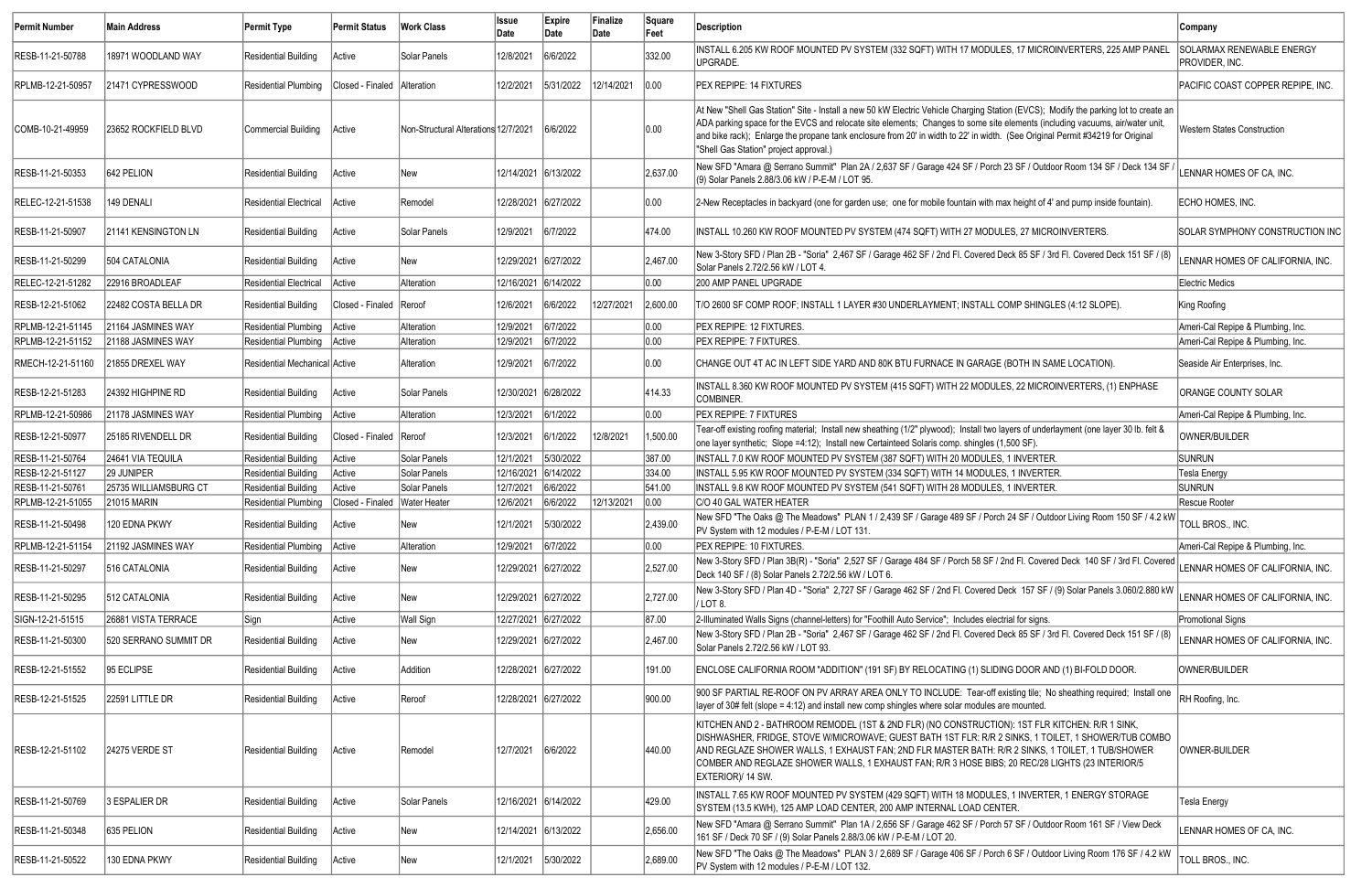| <b>Permit Number</b> | Main Address          | Permit Type                   | Permit Status                   | Work Class                           | <b>Issue</b><br>Date | Expire<br>Date       | Finalize<br>Date | Square<br>Feet | Description                                                                                                                                                                                                                                                                                                                                                                                                                                     | <b>Company</b>                              |
|----------------------|-----------------------|-------------------------------|---------------------------------|--------------------------------------|----------------------|----------------------|------------------|----------------|-------------------------------------------------------------------------------------------------------------------------------------------------------------------------------------------------------------------------------------------------------------------------------------------------------------------------------------------------------------------------------------------------------------------------------------------------|---------------------------------------------|
| RESB-11-21-50788     | 18971 WOODLAND WAY    | Residential Building          | Active                          | Solar Panels                         | 12/8/2021            | 6/6/2022             |                  | 332.00         | INSTALL 6.205 KW ROOF MOUNTED PV SYSTEM (332 SQFT) WITH 17 MODULES, 17 MICROINVERTERS, 225 AMP PANEL<br>UPGRADE.                                                                                                                                                                                                                                                                                                                                | SOLARMAX RENEWABLE ENERGY<br>PROVIDER, INC. |
| RPLMB-12-21-50957    | 21471 CYPRESSWOOD     | Residential Plumbing          | Closed - Finaled   Alteration   |                                      | 12/2/2021            | 5/31/2022            | 12/14/2021       | 0.00           | <b>PEX REPIPE: 14 FIXTURES</b>                                                                                                                                                                                                                                                                                                                                                                                                                  | PACIFIC COAST COPPER REPIPE, INC.           |
| COMB-10-21-49959     | 23652 ROCKFIELD BLVD  | Commercial Building           | Active                          | Non-Structural Alterations 12/7/2021 |                      | 6/6/2022             |                  | 0.00           | At New "Shell Gas Station" Site - Install a new 50 kW Electric Vehicle Charging Station (EVCS); Modify the parking lot to create an<br>ADA parking space for the EVCS and relocate site elements; Changes to some site elements (including vacuums, air/water unit,<br>and bike rack); Enlarge the propane tank enclosure from 20' in width to 22' in width. (See Original Permit #34219 for Original<br>"Shell Gas Station" project approval.) | Western States Construction                 |
| RESB-11-21-50353     | 642 PELION            | Residential Building          | Active                          | New                                  | 12/14/2021 6/13/2022 |                      |                  | 2,637.00       | New SFD "Amara @ Serrano Summit" Plan 2A / 2,637 SF / Garage 424 SF / Porch 23 SF / Outdoor Room 134 SF / Deck 134 SF<br>(9) Solar Panels 2.88/3.06 kW / P-E-M / LOT 95.                                                                                                                                                                                                                                                                        | LENNAR HOMES OF CA, INC.                    |
| RELEC-12-21-51538    | 149 DENALI            | Residential Electrical        | Active                          | Remodel                              | 12/28/2021 6/27/2022 |                      |                  | 0.00           | 2-New Receptacles in backyard (one for garden use; one for mobile fountain with max height of 4' and pump inside fountain)                                                                                                                                                                                                                                                                                                                      | ECHO HOMES, INC.                            |
| RESB-11-21-50907     | 21141 KENSINGTON LN   | Residential Building          | Active                          | Solar Panels                         | 12/9/2021            | 6/7/2022             |                  | 474.00         | INSTALL 10.260 KW ROOF MOUNTED PV SYSTEM (474 SQFT) WITH 27 MODULES, 27 MICROINVERTERS.                                                                                                                                                                                                                                                                                                                                                         | <b>SOLAR SYMPHONY CONSTRUCTION INC</b>      |
| RESB-11-21-50299     | 504 CATALONIA         | Residential Building          | Active                          | New                                  | 12/29/2021 6/27/2022 |                      |                  | 2,467.00       | New 3-Story SFD / Plan 2B - "Soria" 2,467 SF / Garage 462 SF / 2nd Fl. Covered Deck 85 SF / 3rd Fl. Covered Deck 151 SF / (8)<br>Solar Panels 2.72/2.56 kW / LOT 4.                                                                                                                                                                                                                                                                             | LENNAR HOMES OF CALIFORNIA, INC.            |
| RELEC-12-21-51282    | 22916 BROADLEAF       | <b>Residential Electrical</b> | Active                          | Alteration                           | 12/16/2021 6/14/2022 |                      |                  | 0.00           | 200 AMP PANEL UPGRADE                                                                                                                                                                                                                                                                                                                                                                                                                           | Electric Medics                             |
| RESB-12-21-51062     | 22482 COSTA BELLA DR  | Residential Building          | Closed - Finaled   Reroof       |                                      | 12/6/2021            | 6/6/2022             | 12/27/2021       | 2,600.00       | T/O 2600 SF COMP ROOF; INSTALL 1 LAYER #30 UNDERLAYMENT; INSTALL COMP SHINGLES (4:12 SLOPE).                                                                                                                                                                                                                                                                                                                                                    | King Roofing                                |
| RPLMB-12-21-51145    | 21164 JASMINES WAY    | Residential Plumbing          | Active                          | Alteration                           | 12/9/2021            | 6/7/2022             |                  | 0.00           | PEX REPIPE: 12 FIXTURES.                                                                                                                                                                                                                                                                                                                                                                                                                        | Ameri-Cal Repipe & Plumbing, Inc.           |
| RPLMB-12-21-51152    | 21188 JASMINES WAY    | Residential Plumbing   Active |                                 | Alteration                           | 12/9/2021            | 6/7/2022             |                  | 0.00           | <b>PEX REPIPE: 7 FIXTURES.</b>                                                                                                                                                                                                                                                                                                                                                                                                                  | Ameri-Cal Repipe & Plumbing, Inc.           |
| RMECH-12-21-51160    | 21855 DREXEL WAY      | Residential Mechanical Active |                                 | Alteration                           | 12/9/2021            | 6/7/2022             |                  | 0.00           | CHANGE OUT 4T AC IN LEFT SIDE YARD AND 80K BTU FURNACE IN GARAGE (BOTH IN SAME LOCATION).                                                                                                                                                                                                                                                                                                                                                       | Seaside Air Enterprises, Inc.               |
| RESB-12-21-51283     | 24392 HIGHPINE RD     | Residential Building          | Active                          | Solar Panels                         | 12/30/2021 6/28/2022 |                      |                  | 414.33         | INSTALL 8.360 KW ROOF MOUNTED PV SYSTEM (415 SQFT) WITH 22 MODULES, 22 MICROINVERTERS, (1) ENPHASE<br>COMBINER.                                                                                                                                                                                                                                                                                                                                 | ORANGE COUNTY SOLAR                         |
| RPLMB-12-21-50986    | 21178 JASMINES WAY    | Residential Plumbing          | Active                          | Alteration                           | 12/3/2021            | 6/1/2022             |                  | 0.00           | <b>PEX REPIPE: 7 FIXTURES</b>                                                                                                                                                                                                                                                                                                                                                                                                                   | Ameri-Cal Repipe & Plumbing, Inc.           |
| RESB-12-21-50977     | 25185 RIVENDELL DR    | Residential Building          | Closed - Finaled   Reroof       |                                      | 12/3/2021            | 6/1/2022             | 12/8/2021        | 1,500.00       | Tear-off existing roofing material; Install new sheathing (1/2" plywood); Install two layers of underlayment (one layer 30 lb. felt &<br>one layer synthetic; Slope =4:12); Install new Certainteed Solaris comp. shingles (1,500 SF)                                                                                                                                                                                                           | OWNER/BUILDER                               |
| RESB-11-21-50764     | 24641 VIA TEQUILA     | Residential Building          | Active                          | Solar Panels                         | 12/1/2021            | 5/30/2022            |                  | 387.00         | INSTALL 7.0 KW ROOF MOUNTED PV SYSTEM (387 SQFT) WITH 20 MODULES, 1 INVERTER.                                                                                                                                                                                                                                                                                                                                                                   | <b>SUNRUN</b>                               |
| RESB-12-21-51127     | 29 JUNIPER            | <b>Residential Building</b>   | Active                          | Solar Panels                         | 12/16/2021           | 6/14/2022            |                  | 334.00         | INSTALL 5.95 KW ROOF MOUNTED PV SYSTEM (334 SQFT) WITH 14 MODULES, 1 INVERTER.                                                                                                                                                                                                                                                                                                                                                                  | Tesla Energy                                |
| RESB-11-21-50761     | 25735 WILLIAMSBURG CT | Residential Building          | Active                          | Solar Panels                         | 12/7/2021            | 6/6/2022             |                  | 541.00         | INSTALL 9.8 KW ROOF MOUNTED PV SYSTEM (541 SQFT) WITH 28 MODULES, 1 INVERTER.                                                                                                                                                                                                                                                                                                                                                                   | <b>SUNRUN</b>                               |
| RPLMB-12-21-51055    | <b>21015 MARIN</b>    | Residential Plumbing          | Closed - Finaled   Water Heater |                                      | 12/6/2021            | 6/6/2022             | 12/13/2021       | 0.00           | C/O 40 GAL WATER HEATER                                                                                                                                                                                                                                                                                                                                                                                                                         | Rescue Rooter                               |
| RESB-11-21-50498     | 120 EDNA PKWY         | <b>Residential Building</b>   | Active                          | <b>New</b>                           | 12/1/2021            | 5/30/2022            |                  | 2,439.00       | New SFD "The Oaks @ The Meadows" PLAN 1 / 2,439 SF / Garage 489 SF / Porch 24 SF / Outdoor Living Room 150 SF / 4.2 kW<br>PV System with 12 modules / P-E-M / LOT 131.                                                                                                                                                                                                                                                                          | TOLL BROS., INC.                            |
| RPLMB-12-21-51154    | 21192 JASMINES WAY    | Residential Plumbing Active   |                                 | Alteration                           | 12/9/2021            | 6/7/2022             |                  | 0.00           | PEX REPIPE: 10 FIXTURES.                                                                                                                                                                                                                                                                                                                                                                                                                        | Ameri-Cal Repipe & Plumbing, Inc.           |
| RESB-11-21-50297     | 516 CATALONIA         | Residential Building          | Active                          | New                                  | 12/29/2021 6/27/2022 |                      |                  | 2,527.00       | New 3-Story SFD / Plan 3B(R) - "Soria" 2,527 SF / Garage 484 SF / Porch 58 SF / 2nd Fl. Covered Deck 140 SF / 3rd Fl. Covered<br>Deck 140 SF / (8) Solar Panels 2.72/2.56 kW / LOT 6.                                                                                                                                                                                                                                                           | LENNAR HOMES OF CALIFORNIA, INC.            |
| RESB-11-21-50295     | 512 CATALONIA         | Residential Building          | Active                          | New                                  |                      | 12/29/2021 6/27/2022 |                  | 2,727.00       | New 3-Story SFD / Plan 4D - "Soria" 2,727 SF / Garage 462 SF / 2nd Fl. Covered Deck 157 SF / (9) Solar Panels 3.060/2.880 kW<br>/ LOT 8.                                                                                                                                                                                                                                                                                                        | LENNAR HOMES OF CALIFORNIA, INC.            |
| SIGN-12-21-51515     | 26881 VISTA TERRACE   | Sign                          | Active                          | Wall Sign                            |                      | 12/27/2021 6/27/2022 |                  | 87.00          | 2-Illuminated Walls Signs (channel-letters) for "Foothill Auto Service"; Includes electrial for signs.                                                                                                                                                                                                                                                                                                                                          | Promotional Signs                           |
| RESB-11-21-50300     | 520 SERRANO SUMMIT DR | Residential Building          | Active                          | New                                  | 12/29/2021 6/27/2022 |                      |                  | 2,467.00       | New 3-Story SFD / Plan 2B - "Soria" 2,467 SF / Garage 462 SF / 2nd Fl. Covered Deck 85 SF / 3rd Fl. Covered Deck 151 SF / (8)<br>Solar Panels 2.72/2.56 kW / LOT 93.                                                                                                                                                                                                                                                                            | LENNAR HOMES OF CALIFORNIA, INC.            |
| RESB-12-21-51552     | 95 ECLIPSE            | <b>Residential Building</b>   | Active                          | Addition                             |                      | 12/28/2021 6/27/2022 |                  | 191.00         | ENCLOSE CALIFORNIA ROOM "ADDITION" (191 SF) BY RELOCATING (1) SLIDING DOOR AND (1) BI-FOLD DOOR.                                                                                                                                                                                                                                                                                                                                                | OWNER/BUILDER                               |
| RESB-12-21-51525     | 22591 LITTLE DR       | <b>Residential Building</b>   | Active                          | Reroof                               |                      | 12/28/2021 6/27/2022 |                  | 900.00         | 900 SF PARTIAL RE-ROOF ON PV ARRAY AREA ONLY TO INCLUDE: Tear-off existing tile; No sheathing required; Install one<br>$\vert$ layer of 30# felt (slope = 4:12) and install new comp shingles where solar modules are mounted.                                                                                                                                                                                                                  | RH Roofing, Inc.                            |
| RESB-12-21-51102     | 24275 VERDE ST        | Residential Building          | Active                          | Remodel                              | 12/7/2021            | 6/6/2022             |                  | 440.00         | KITCHEN AND 2 - BATHROOM REMODEL (1ST & 2ND FLR) (NO CONSTRUCTION): 1ST FLR KITCHEN: R/R 1 SINK,<br>DISHWASHER, FRIDGE, STOVE W/MICROWAVE; GUEST BATH 1ST FLR: R/R 2 SINKS, 1 TOILET, 1 SHOWER/TUB COMBO<br>AND REGLAZE SHOWER WALLS, 1 EXHAUST FAN; 2ND FLR MASTER BATH: R/R 2 SINKS, 1 TOILET, 1 TUB/SHOWER<br>COMBER AND REGLAZE SHOWER WALLS, 1 EXHAUST FAN; R/R 3 HOSE BIBS; 20 REC/28 LIGHTS (23 INTERIOR/5<br>EXTERIOR)/ 14 SW.          | OWNER-BUILDER                               |
| RESB-11-21-50769     | 3 ESPALIER DR         | <b>Residential Building</b>   | Active                          | Solar Panels                         | 12/16/2021 6/14/2022 |                      |                  | 429.00         | INSTALL 7.65 KW ROOF MOUNTED PV SYSTEM (429 SQFT) WITH 18 MODULES, 1 INVERTER, 1 ENERGY STORAGE<br>SYSTEM (13.5 KWH), 125 AMP LOAD CENTER, 200 AMP INTERNAL LOAD CENTER.                                                                                                                                                                                                                                                                        | <b>Tesla Energy</b>                         |
| RESB-11-21-50348     | 635 PELION            | <b>Residential Building</b>   | Active                          | New                                  |                      | 12/14/2021 6/13/2022 |                  | 2,656.00       | New SFD "Amara @ Serrano Summit" Plan 1A / 2,656 SF / Garage 462 SF / Porch 57 SF / Outdoor Room 161 SF / View Deck<br>161 SF / Deck 70 SF / (9) Solar Panels 2.88/3.06 kW / P-E-M / LOT 20.                                                                                                                                                                                                                                                    | LENNAR HOMES OF CA, INC.                    |
| RESB-11-21-50522     | 130 EDNA PKWY         | Residential Building          | Active                          | New                                  | 12/1/2021            | 5/30/2022            |                  | 2,689.00       | New SFD "The Oaks @ The Meadows" PLAN 3 / 2,689 SF / Garage 406 SF / Porch 6 SF / Outdoor Living Room 176 SF / 4.2 kW<br>PV System with 12 modules / P-E-M / LOT 132.                                                                                                                                                                                                                                                                           | TOLL BROS., INC.                            |